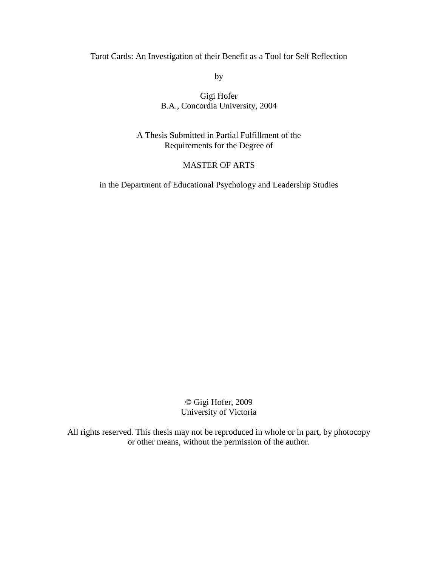# Tarot Cards: An Investigation of their Benefit as a Tool for Self Reflection

by

# Gigi Hofer B.A., Concordia University, 2004

A Thesis Submitted in Partial Fulfillment of the Requirements for the Degree of

# MASTER OF ARTS

in the Department of Educational Psychology and Leadership Studies

© Gigi Hofer, 2009 University of Victoria

All rights reserved. This thesis may not be reproduced in whole or in part, by photocopy or other means, without the permission of the author.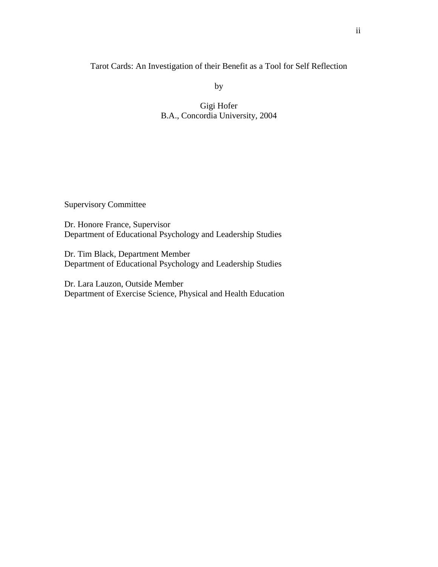Tarot Cards: An Investigation of their Benefit as a Tool for Self Reflection

by

Gigi Hofer B.A., Concordia University, 2004

Supervisory Committee

Dr. Honore France, Supervisor Department of Educational Psychology and Leadership Studies

Dr. Tim Black, Department Member Department of Educational Psychology and Leadership Studies

Dr. Lara Lauzon, Outside Member Department of Exercise Science, Physical and Health Education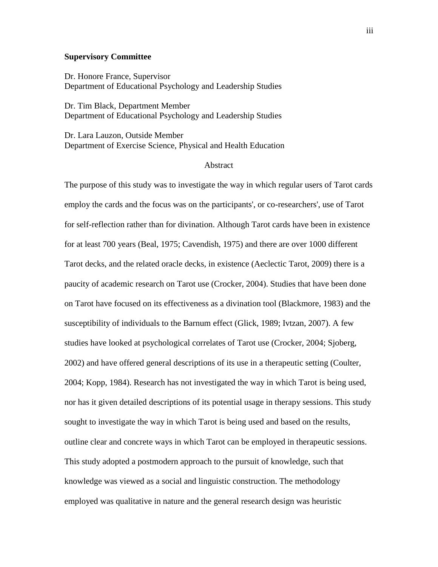## **Supervisory Committee**

Dr. Honore France, Supervisor Department of Educational Psychology and Leadership Studies

Dr. Tim Black, Department Member Department of Educational Psychology and Leadership Studies

Dr. Lara Lauzon, Outside Member Department of Exercise Science, Physical and Health Education

### Abstract

The purpose of this study was to investigate the way in which regular users of Tarot cards employ the cards and the focus was on the participants', or co-researchers', use of Tarot for self-reflection rather than for divination. Although Tarot cards have been in existence for at least 700 years (Beal, 1975; Cavendish, 1975) and there are over 1000 different Tarot decks, and the related oracle decks, in existence (Aeclectic Tarot, 2009) there is a paucity of academic research on Tarot use (Crocker, 2004). Studies that have been done on Tarot have focused on its effectiveness as a divination tool (Blackmore, 1983) and the susceptibility of individuals to the Barnum effect (Glick, 1989; Ivtzan, 2007). A few studies have looked at psychological correlates of Tarot use (Crocker, 2004; Sjoberg, 2002) and have offered general descriptions of its use in a therapeutic setting (Coulter, 2004; Kopp, 1984). Research has not investigated the way in which Tarot is being used, nor has it given detailed descriptions of its potential usage in therapy sessions. This study sought to investigate the way in which Tarot is being used and based on the results, outline clear and concrete ways in which Tarot can be employed in therapeutic sessions. This study adopted a postmodern approach to the pursuit of knowledge, such that knowledge was viewed as a social and linguistic construction. The methodology employed was qualitative in nature and the general research design was heuristic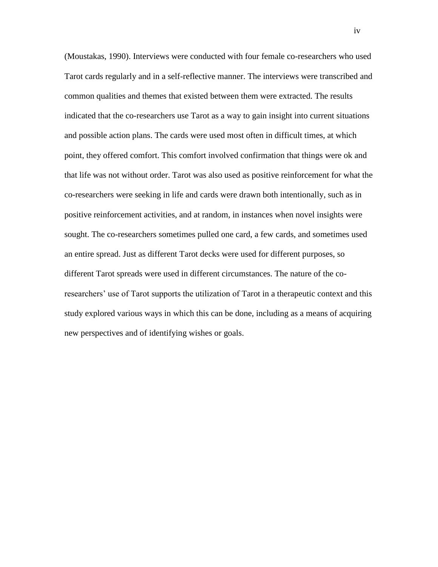(Moustakas, 1990). Interviews were conducted with four female co-researchers who used Tarot cards regularly and in a self-reflective manner. The interviews were transcribed and common qualities and themes that existed between them were extracted. The results indicated that the co-researchers use Tarot as a way to gain insight into current situations and possible action plans. The cards were used most often in difficult times, at which point, they offered comfort. This comfort involved confirmation that things were ok and that life was not without order. Tarot was also used as positive reinforcement for what the co-researchers were seeking in life and cards were drawn both intentionally, such as in positive reinforcement activities, and at random, in instances when novel insights were sought. The co-researchers sometimes pulled one card, a few cards, and sometimes used an entire spread. Just as different Tarot decks were used for different purposes, so different Tarot spreads were used in different circumstances. The nature of the coresearchers' use of Tarot supports the utilization of Tarot in a therapeutic context and this study explored various ways in which this can be done, including as a means of acquiring new perspectives and of identifying wishes or goals.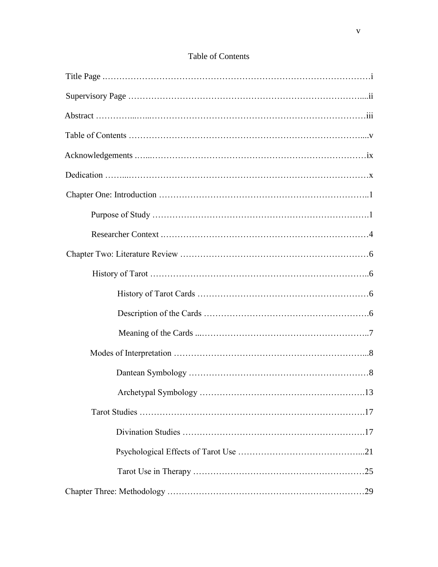| <b>Table of Contents</b> |
|--------------------------|
|                          |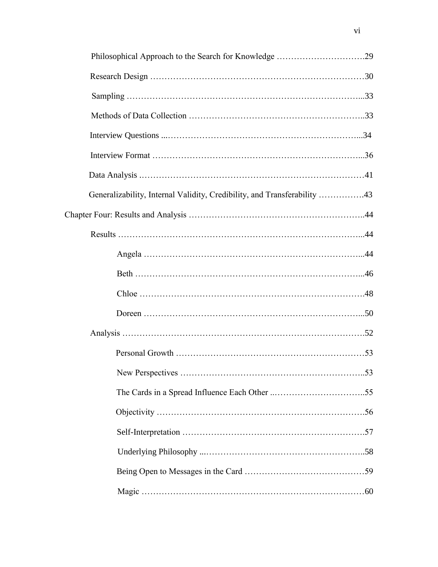| Generalizability, Internal Validity, Credibility, and Transferability 43 |  |
|--------------------------------------------------------------------------|--|
|                                                                          |  |
|                                                                          |  |
|                                                                          |  |
|                                                                          |  |
|                                                                          |  |
|                                                                          |  |
|                                                                          |  |
|                                                                          |  |
|                                                                          |  |
|                                                                          |  |
|                                                                          |  |
|                                                                          |  |
|                                                                          |  |
|                                                                          |  |
|                                                                          |  |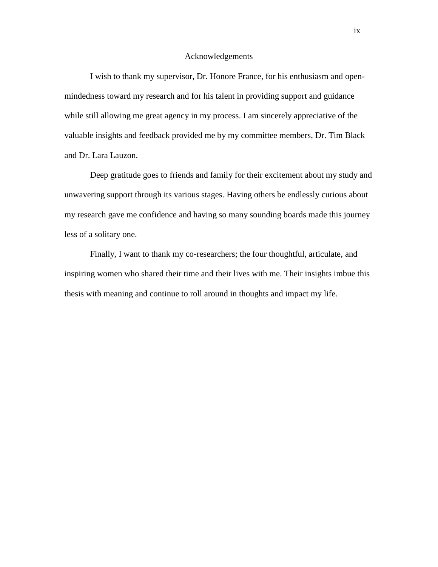#### Acknowledgements

I wish to thank my supervisor, Dr. Honore France, for his enthusiasm and openmindedness toward my research and for his talent in providing support and guidance while still allowing me great agency in my process. I am sincerely appreciative of the valuable insights and feedback provided me by my committee members, Dr. Tim Black and Dr. Lara Lauzon.

Deep gratitude goes to friends and family for their excitement about my study and unwavering support through its various stages. Having others be endlessly curious about my research gave me confidence and having so many sounding boards made this journey less of a solitary one.

Finally, I want to thank my co-researchers; the four thoughtful, articulate, and inspiring women who shared their time and their lives with me. Their insights imbue this thesis with meaning and continue to roll around in thoughts and impact my life.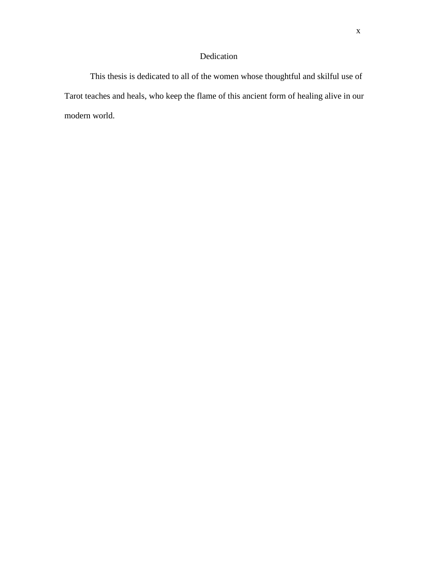# Dedication

This thesis is dedicated to all of the women whose thoughtful and skilful use of Tarot teaches and heals, who keep the flame of this ancient form of healing alive in our modern world.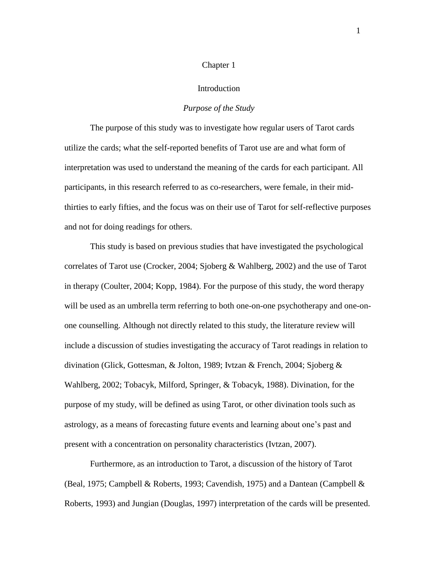#### Chapter 1

### Introduction

# *Purpose of the Study*

The purpose of this study was to investigate how regular users of Tarot cards utilize the cards; what the self-reported benefits of Tarot use are and what form of interpretation was used to understand the meaning of the cards for each participant. All participants, in this research referred to as co-researchers, were female, in their midthirties to early fifties, and the focus was on their use of Tarot for self-reflective purposes and not for doing readings for others.

This study is based on previous studies that have investigated the psychological correlates of Tarot use (Crocker, 2004; Sjoberg & Wahlberg, 2002) and the use of Tarot in therapy (Coulter, 2004; Kopp, 1984). For the purpose of this study, the word therapy will be used as an umbrella term referring to both one-on-one psychotherapy and one-onone counselling. Although not directly related to this study, the literature review will include a discussion of studies investigating the accuracy of Tarot readings in relation to divination (Glick, Gottesman, & Jolton, 1989; Ivtzan & French, 2004; Sjoberg & Wahlberg, 2002; Tobacyk, Milford, Springer, & Tobacyk, 1988). Divination, for the purpose of my study, will be defined as using Tarot, or other divination tools such as astrology, as a means of forecasting future events and learning about one"s past and present with a concentration on personality characteristics (Ivtzan, 2007).

Furthermore, as an introduction to Tarot, a discussion of the history of Tarot (Beal, 1975; Campbell & Roberts, 1993; Cavendish, 1975) and a Dantean (Campbell & Roberts, 1993) and Jungian (Douglas, 1997) interpretation of the cards will be presented.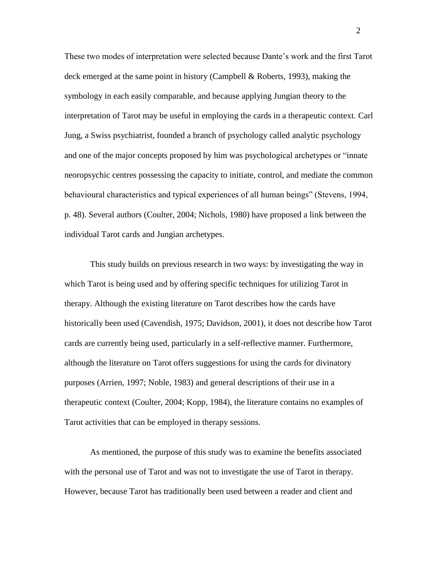These two modes of interpretation were selected because Dante"s work and the first Tarot deck emerged at the same point in history (Campbell & Roberts, 1993), making the symbology in each easily comparable, and because applying Jungian theory to the interpretation of Tarot may be useful in employing the cards in a therapeutic context. Carl Jung, a Swiss psychiatrist, founded a branch of psychology called analytic psychology and one of the major concepts proposed by him was psychological archetypes or "innate neoropsychic centres possessing the capacity to initiate, control, and mediate the common behavioural characteristics and typical experiences of all human beings" (Stevens, 1994, p. 48). Several authors (Coulter, 2004; Nichols, 1980) have proposed a link between the individual Tarot cards and Jungian archetypes.

This study builds on previous research in two ways: by investigating the way in which Tarot is being used and by offering specific techniques for utilizing Tarot in therapy. Although the existing literature on Tarot describes how the cards have historically been used (Cavendish, 1975; Davidson, 2001), it does not describe how Tarot cards are currently being used, particularly in a self-reflective manner. Furthermore, although the literature on Tarot offers suggestions for using the cards for divinatory purposes (Arrien, 1997; Noble, 1983) and general descriptions of their use in a therapeutic context (Coulter, 2004; Kopp, 1984), the literature contains no examples of Tarot activities that can be employed in therapy sessions.

As mentioned, the purpose of this study was to examine the benefits associated with the personal use of Tarot and was not to investigate the use of Tarot in therapy. However, because Tarot has traditionally been used between a reader and client and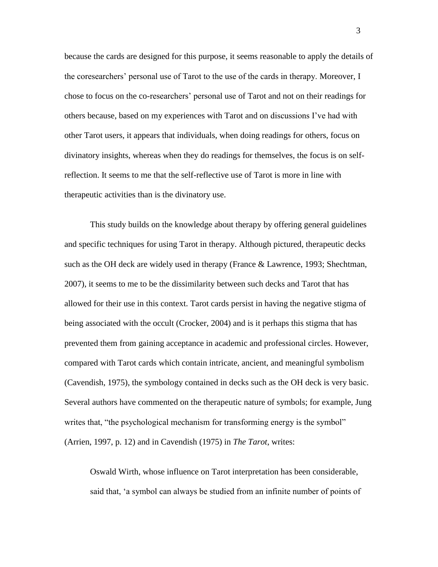because the cards are designed for this purpose, it seems reasonable to apply the details of the coresearchers" personal use of Tarot to the use of the cards in therapy. Moreover, I chose to focus on the co-researchers" personal use of Tarot and not on their readings for others because, based on my experiences with Tarot and on discussions I"ve had with other Tarot users, it appears that individuals, when doing readings for others, focus on divinatory insights, whereas when they do readings for themselves, the focus is on selfreflection. It seems to me that the self-reflective use of Tarot is more in line with therapeutic activities than is the divinatory use.

This study builds on the knowledge about therapy by offering general guidelines and specific techniques for using Tarot in therapy. Although pictured, therapeutic decks such as the OH deck are widely used in therapy (France & Lawrence, 1993; Shechtman, 2007), it seems to me to be the dissimilarity between such decks and Tarot that has allowed for their use in this context. Tarot cards persist in having the negative stigma of being associated with the occult (Crocker, 2004) and is it perhaps this stigma that has prevented them from gaining acceptance in academic and professional circles. However, compared with Tarot cards which contain intricate, ancient, and meaningful symbolism (Cavendish, 1975), the symbology contained in decks such as the OH deck is very basic. Several authors have commented on the therapeutic nature of symbols; for example, Jung writes that, "the psychological mechanism for transforming energy is the symbol" (Arrien, 1997, p. 12) and in Cavendish (1975) in *The Tarot*, writes:

Oswald Wirth, whose influence on Tarot interpretation has been considerable, said that, "a symbol can always be studied from an infinite number of points of

3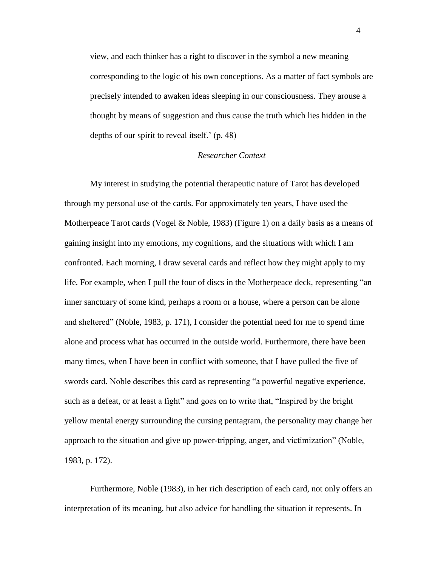view, and each thinker has a right to discover in the symbol a new meaning corresponding to the logic of his own conceptions. As a matter of fact symbols are precisely intended to awaken ideas sleeping in our consciousness. They arouse a thought by means of suggestion and thus cause the truth which lies hidden in the depths of our spirit to reveal itself.'  $(p. 48)$ 

# *Researcher Context*

My interest in studying the potential therapeutic nature of Tarot has developed through my personal use of the cards. For approximately ten years, I have used the Motherpeace Tarot cards (Vogel & Noble, 1983) (Figure 1) on a daily basis as a means of gaining insight into my emotions, my cognitions, and the situations with which I am confronted. Each morning, I draw several cards and reflect how they might apply to my life. For example, when I pull the four of discs in the Motherpeace deck, representing "an inner sanctuary of some kind, perhaps a room or a house, where a person can be alone and sheltered" (Noble, 1983, p. 171), I consider the potential need for me to spend time alone and process what has occurred in the outside world. Furthermore, there have been many times, when I have been in conflict with someone, that I have pulled the five of swords card. Noble describes this card as representing "a powerful negative experience, such as a defeat, or at least a fight" and goes on to write that, "Inspired by the bright yellow mental energy surrounding the cursing pentagram, the personality may change her approach to the situation and give up power-tripping, anger, and victimization" (Noble, 1983, p. 172).

Furthermore, Noble (1983), in her rich description of each card, not only offers an interpretation of its meaning, but also advice for handling the situation it represents. In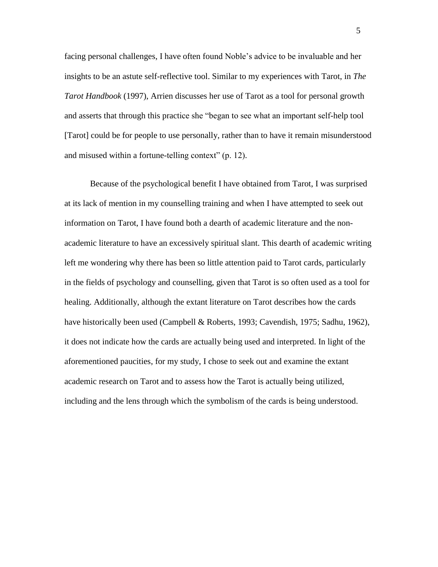facing personal challenges, I have often found Noble"s advice to be invaluable and her insights to be an astute self-reflective tool. Similar to my experiences with Tarot, in *The Tarot Handbook* (1997), Arrien discusses her use of Tarot as a tool for personal growth and asserts that through this practice she "began to see what an important self-help tool [Tarot] could be for people to use personally, rather than to have it remain misunderstood and misused within a fortune-telling context" (p. 12).

Because of the psychological benefit I have obtained from Tarot, I was surprised at its lack of mention in my counselling training and when I have attempted to seek out information on Tarot, I have found both a dearth of academic literature and the nonacademic literature to have an excessively spiritual slant. This dearth of academic writing left me wondering why there has been so little attention paid to Tarot cards, particularly in the fields of psychology and counselling, given that Tarot is so often used as a tool for healing. Additionally, although the extant literature on Tarot describes how the cards have historically been used (Campbell & Roberts, 1993; Cavendish, 1975; Sadhu, 1962), it does not indicate how the cards are actually being used and interpreted. In light of the aforementioned paucities, for my study, I chose to seek out and examine the extant academic research on Tarot and to assess how the Tarot is actually being utilized, including and the lens through which the symbolism of the cards is being understood.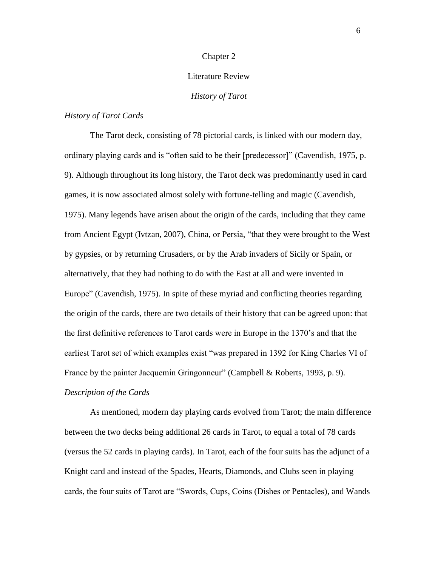#### Chapter 2

### Literature Review

# *History of Tarot*

# *History of Tarot Cards*

The Tarot deck, consisting of 78 pictorial cards, is linked with our modern day, ordinary playing cards and is "often said to be their [predecessor]" (Cavendish, 1975, p. 9). Although throughout its long history, the Tarot deck was predominantly used in card games, it is now associated almost solely with fortune-telling and magic (Cavendish, 1975). Many legends have arisen about the origin of the cards, including that they came from Ancient Egypt (Ivtzan, 2007), China, or Persia, "that they were brought to the West by gypsies, or by returning Crusaders, or by the Arab invaders of Sicily or Spain, or alternatively, that they had nothing to do with the East at all and were invented in Europe" (Cavendish, 1975). In spite of these myriad and conflicting theories regarding the origin of the cards, there are two details of their history that can be agreed upon: that the first definitive references to Tarot cards were in Europe in the 1370"s and that the earliest Tarot set of which examples exist "was prepared in 1392 for King Charles VI of France by the painter Jacquemin Gringonneur" (Campbell & Roberts, 1993, p. 9). *Description of the Cards*

As mentioned, modern day playing cards evolved from Tarot; the main difference between the two decks being additional 26 cards in Tarot, to equal a total of 78 cards (versus the 52 cards in playing cards). In Tarot, each of the four suits has the adjunct of a Knight card and instead of the Spades, Hearts, Diamonds, and Clubs seen in playing cards, the four suits of Tarot are "Swords, Cups, Coins (Dishes or Pentacles), and Wands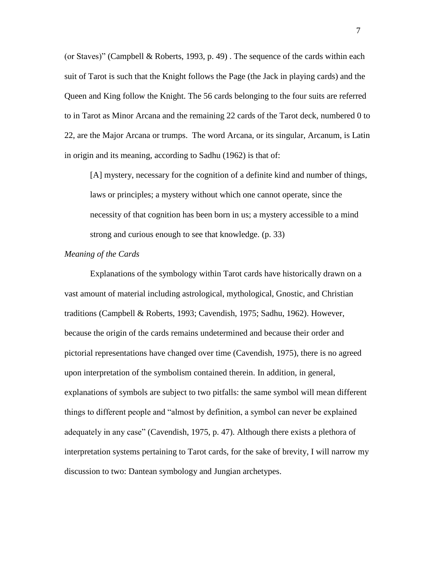(or Staves)" (Campbell & Roberts, 1993, p. 49) . The sequence of the cards within each suit of Tarot is such that the Knight follows the Page (the Jack in playing cards) and the Queen and King follow the Knight. The 56 cards belonging to the four suits are referred to in Tarot as Minor Arcana and the remaining 22 cards of the Tarot deck, numbered 0 to 22, are the Major Arcana or trumps. The word Arcana, or its singular, Arcanum, is Latin in origin and its meaning, according to Sadhu (1962) is that of:

[A] mystery, necessary for the cognition of a definite kind and number of things, laws or principles; a mystery without which one cannot operate, since the necessity of that cognition has been born in us; a mystery accessible to a mind strong and curious enough to see that knowledge. (p. 33)

#### *Meaning of the Cards*

Explanations of the symbology within Tarot cards have historically drawn on a vast amount of material including astrological, mythological, Gnostic, and Christian traditions (Campbell & Roberts, 1993; Cavendish, 1975; Sadhu, 1962). However, because the origin of the cards remains undetermined and because their order and pictorial representations have changed over time (Cavendish, 1975), there is no agreed upon interpretation of the symbolism contained therein. In addition, in general, explanations of symbols are subject to two pitfalls: the same symbol will mean different things to different people and "almost by definition, a symbol can never be explained adequately in any case" (Cavendish, 1975, p. 47). Although there exists a plethora of interpretation systems pertaining to Tarot cards, for the sake of brevity, I will narrow my discussion to two: Dantean symbology and Jungian archetypes.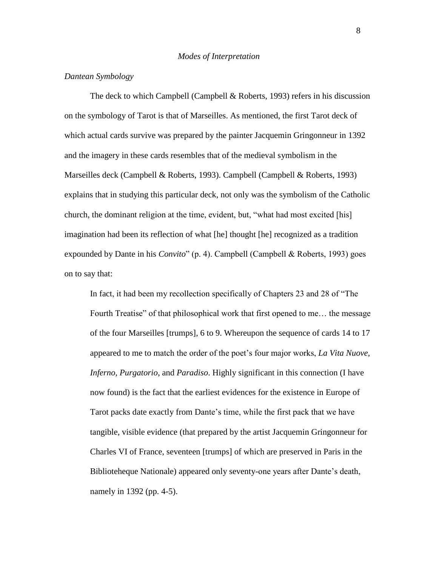## *Dantean Symbology*

The deck to which Campbell (Campbell  $\&$  Roberts, 1993) refers in his discussion on the symbology of Tarot is that of Marseilles. As mentioned, the first Tarot deck of which actual cards survive was prepared by the painter Jacquemin Gringonneur in 1392 and the imagery in these cards resembles that of the medieval symbolism in the Marseilles deck (Campbell & Roberts, 1993). Campbell (Campbell & Roberts, 1993) explains that in studying this particular deck, not only was the symbolism of the Catholic church, the dominant religion at the time, evident, but, "what had most excited [his] imagination had been its reflection of what [he] thought [he] recognized as a tradition expounded by Dante in his *Convito*" (p. 4). Campbell (Campbell & Roberts, 1993) goes on to say that:

In fact, it had been my recollection specifically of Chapters 23 and 28 of "The Fourth Treatise" of that philosophical work that first opened to me… the message of the four Marseilles [trumps], 6 to 9. Whereupon the sequence of cards 14 to 17 appeared to me to match the order of the poet"s four major works, *La Vita Nuove, Inferno, Purgatorio*, and *Paradiso*. Highly significant in this connection (I have now found) is the fact that the earliest evidences for the existence in Europe of Tarot packs date exactly from Dante's time, while the first pack that we have tangible, visible evidence (that prepared by the artist Jacquemin Gringonneur for Charles VI of France, seventeen [trumps] of which are preserved in Paris in the Biblioteheque Nationale) appeared only seventy-one years after Dante"s death, namely in 1392 (pp. 4-5).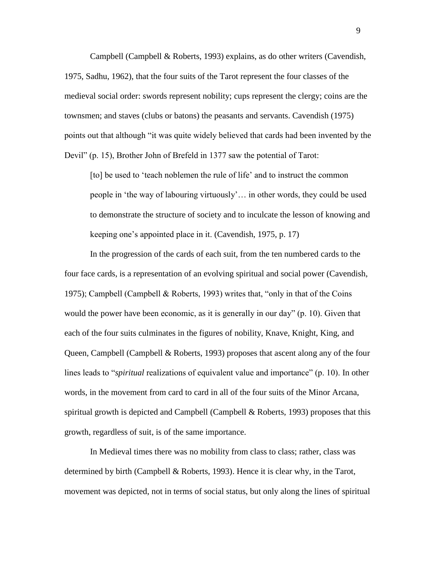Campbell (Campbell & Roberts, 1993) explains, as do other writers (Cavendish, 1975, Sadhu, 1962), that the four suits of the Tarot represent the four classes of the medieval social order: swords represent nobility; cups represent the clergy; coins are the townsmen; and staves (clubs or batons) the peasants and servants. Cavendish (1975) points out that although "it was quite widely believed that cards had been invented by the Devil" (p. 15), Brother John of Brefeld in 1377 saw the potential of Tarot:

[to] be used to 'teach noblemen the rule of life' and to instruct the common people in "the way of labouring virtuously"… in other words, they could be used to demonstrate the structure of society and to inculcate the lesson of knowing and keeping one"s appointed place in it. (Cavendish, 1975, p. 17)

In the progression of the cards of each suit, from the ten numbered cards to the four face cards, is a representation of an evolving spiritual and social power (Cavendish, 1975); Campbell (Campbell & Roberts, 1993) writes that, "only in that of the Coins would the power have been economic, as it is generally in our day" (p. 10). Given that each of the four suits culminates in the figures of nobility, Knave, Knight, King, and Queen, Campbell (Campbell & Roberts, 1993) proposes that ascent along any of the four lines leads to "*spiritual* realizations of equivalent value and importance" (p. 10). In other words, in the movement from card to card in all of the four suits of the Minor Arcana, spiritual growth is depicted and Campbell (Campbell & Roberts, 1993) proposes that this growth, regardless of suit, is of the same importance.

In Medieval times there was no mobility from class to class; rather, class was determined by birth (Campbell & Roberts, 1993). Hence it is clear why, in the Tarot, movement was depicted, not in terms of social status, but only along the lines of spiritual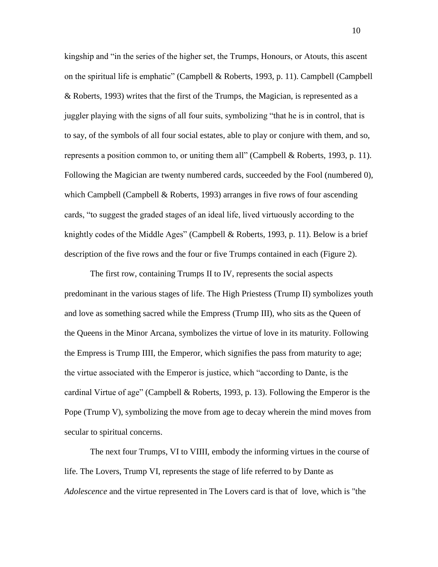kingship and "in the series of the higher set, the Trumps, Honours, or Atouts, this ascent on the spiritual life is emphatic" (Campbell & Roberts, 1993, p. 11). Campbell (Campbell & Roberts, 1993) writes that the first of the Trumps, the Magician, is represented as a juggler playing with the signs of all four suits, symbolizing "that he is in control, that is to say, of the symbols of all four social estates, able to play or conjure with them, and so, represents a position common to, or uniting them all" (Campbell & Roberts, 1993, p. 11). Following the Magician are twenty numbered cards, succeeded by the Fool (numbered 0), which Campbell (Campbell & Roberts, 1993) arranges in five rows of four ascending cards, "to suggest the graded stages of an ideal life, lived virtuously according to the knightly codes of the Middle Ages" (Campbell & Roberts, 1993, p. 11). Below is a brief description of the five rows and the four or five Trumps contained in each (Figure 2).

The first row, containing Trumps II to IV, represents the social aspects predominant in the various stages of life. The High Priestess (Trump II) symbolizes youth and love as something sacred while the Empress (Trump III), who sits as the Queen of the Queens in the Minor Arcana, symbolizes the virtue of love in its maturity. Following the Empress is Trump IIII, the Emperor, which signifies the pass from maturity to age; the virtue associated with the Emperor is justice, which "according to Dante, is the cardinal Virtue of age" (Campbell & Roberts, 1993, p. 13). Following the Emperor is the Pope (Trump V), symbolizing the move from age to decay wherein the mind moves from secular to spiritual concerns.

The next four Trumps, VI to VIIII, embody the informing virtues in the course of life. The Lovers, Trump VI, represents the stage of life referred to by Dante as *Adolescence* and the virtue represented in The Lovers card is that of love, which is "the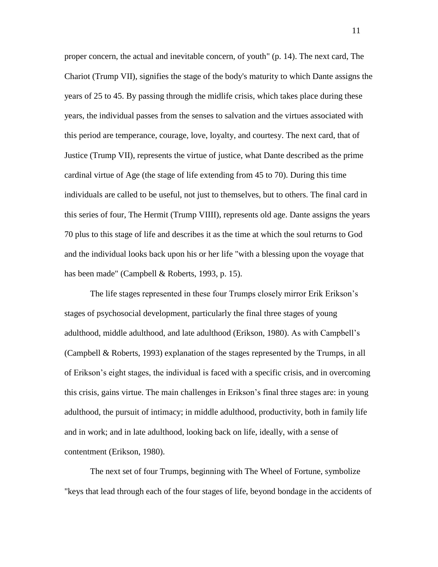proper concern, the actual and inevitable concern, of youth" (p. 14). The next card, The Chariot (Trump VII), signifies the stage of the body's maturity to which Dante assigns the years of 25 to 45. By passing through the midlife crisis, which takes place during these years, the individual passes from the senses to salvation and the virtues associated with this period are temperance, courage, love, loyalty, and courtesy. The next card, that of Justice (Trump VII), represents the virtue of justice, what Dante described as the prime cardinal virtue of Age (the stage of life extending from 45 to 70). During this time individuals are called to be useful, not just to themselves, but to others. The final card in this series of four, The Hermit (Trump VIIII), represents old age. Dante assigns the years 70 plus to this stage of life and describes it as the time at which the soul returns to God and the individual looks back upon his or her life "with a blessing upon the voyage that has been made" (Campbell & Roberts, 1993, p. 15).

The life stages represented in these four Trumps closely mirror Erik Erikson"s stages of psychosocial development, particularly the final three stages of young adulthood, middle adulthood, and late adulthood (Erikson, 1980). As with Campbell"s (Campbell & Roberts, 1993) explanation of the stages represented by the Trumps, in all of Erikson"s eight stages, the individual is faced with a specific crisis, and in overcoming this crisis, gains virtue. The main challenges in Erikson"s final three stages are: in young adulthood, the pursuit of intimacy; in middle adulthood, productivity, both in family life and in work; and in late adulthood, looking back on life, ideally, with a sense of contentment (Erikson, 1980).

The next set of four Trumps, beginning with The Wheel of Fortune, symbolize "keys that lead through each of the four stages of life, beyond bondage in the accidents of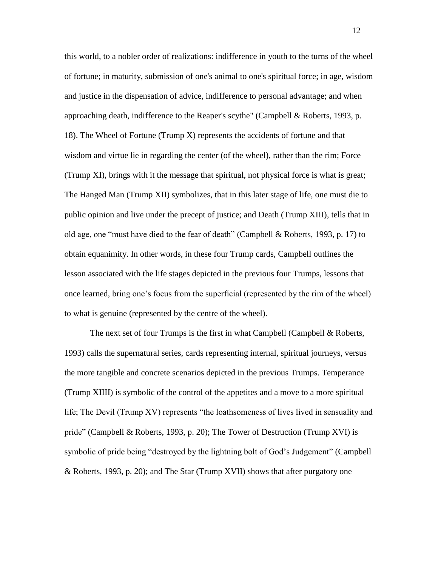this world, to a nobler order of realizations: indifference in youth to the turns of the wheel of fortune; in maturity, submission of one's animal to one's spiritual force; in age, wisdom and justice in the dispensation of advice, indifference to personal advantage; and when approaching death, indifference to the Reaper's scythe" (Campbell & Roberts, 1993, p. 18). The Wheel of Fortune (Trump X) represents the accidents of fortune and that wisdom and virtue lie in regarding the center (of the wheel), rather than the rim; Force (Trump XI), brings with it the message that spiritual, not physical force is what is great; The Hanged Man (Trump XII) symbolizes, that in this later stage of life, one must die to public opinion and live under the precept of justice; and Death (Trump XIII), tells that in old age, one "must have died to the fear of death" (Campbell & Roberts, 1993, p. 17) to obtain equanimity. In other words, in these four Trump cards, Campbell outlines the lesson associated with the life stages depicted in the previous four Trumps, lessons that once learned, bring one"s focus from the superficial (represented by the rim of the wheel) to what is genuine (represented by the centre of the wheel).

The next set of four Trumps is the first in what Campbell (Campbell  $\&$  Roberts, 1993) calls the supernatural series, cards representing internal, spiritual journeys, versus the more tangible and concrete scenarios depicted in the previous Trumps. Temperance (Trump XIIII) is symbolic of the control of the appetites and a move to a more spiritual life; The Devil (Trump XV) represents "the loathsomeness of lives lived in sensuality and pride" (Campbell & Roberts, 1993, p. 20); The Tower of Destruction (Trump XVI) is symbolic of pride being "destroyed by the lightning bolt of God"s Judgement" (Campbell & Roberts, 1993, p. 20); and The Star (Trump XVII) shows that after purgatory one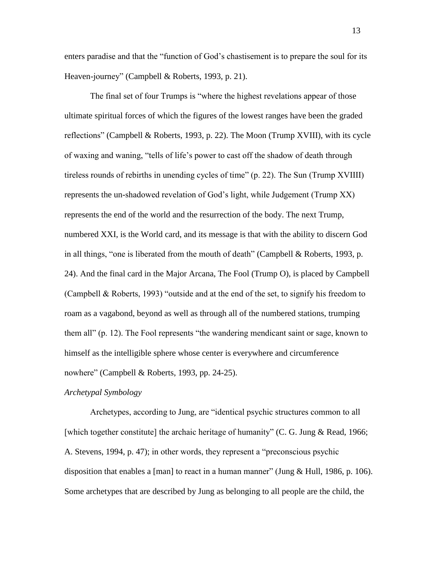enters paradise and that the "function of God"s chastisement is to prepare the soul for its Heaven-journey" (Campbell & Roberts, 1993, p. 21).

The final set of four Trumps is "where the highest revelations appear of those ultimate spiritual forces of which the figures of the lowest ranges have been the graded reflections" (Campbell & Roberts, 1993, p. 22). The Moon (Trump XVIII), with its cycle of waxing and waning, "tells of life"s power to cast off the shadow of death through tireless rounds of rebirths in unending cycles of time" (p. 22). The Sun (Trump XVIIII) represents the un-shadowed revelation of God"s light, while Judgement (Trump XX) represents the end of the world and the resurrection of the body. The next Trump, numbered XXI, is the World card, and its message is that with the ability to discern God in all things, "one is liberated from the mouth of death" (Campbell & Roberts, 1993, p. 24). And the final card in the Major Arcana, The Fool (Trump O), is placed by Campbell (Campbell & Roberts, 1993) "outside and at the end of the set, to signify his freedom to roam as a vagabond, beyond as well as through all of the numbered stations, trumping them all" (p. 12). The Fool represents "the wandering mendicant saint or sage, known to himself as the intelligible sphere whose center is everywhere and circumference nowhere" (Campbell & Roberts, 1993, pp. 24-25).

### *Archetypal Symbology*

Archetypes, according to Jung, are "identical psychic structures common to all [which together constitute] the archaic heritage of humanity" (C. G. Jung & Read, 1966; A. Stevens, 1994, p. 47); in other words, they represent a "preconscious psychic disposition that enables a [man] to react in a human manner" (Jung  $& Hull$ , 1986, p. 106). Some archetypes that are described by Jung as belonging to all people are the child, the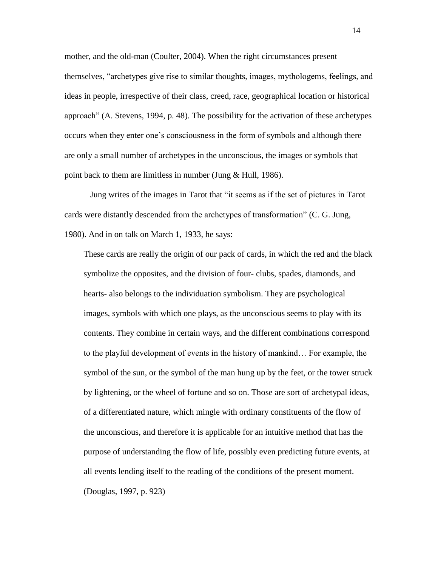mother, and the old-man (Coulter, 2004). When the right circumstances present themselves, "archetypes give rise to similar thoughts, images, mythologems, feelings, and ideas in people, irrespective of their class, creed, race, geographical location or historical approach" (A. Stevens, 1994, p. 48). The possibility for the activation of these archetypes occurs when they enter one"s consciousness in the form of symbols and although there are only a small number of archetypes in the unconscious, the images or symbols that point back to them are limitless in number (Jung & Hull, 1986).

Jung writes of the images in Tarot that "it seems as if the set of pictures in Tarot cards were distantly descended from the archetypes of transformation" (C. G. Jung, 1980). And in on talk on March 1, 1933, he says:

These cards are really the origin of our pack of cards, in which the red and the black symbolize the opposites, and the division of four- clubs, spades, diamonds, and hearts- also belongs to the individuation symbolism. They are psychological images, symbols with which one plays, as the unconscious seems to play with its contents. They combine in certain ways, and the different combinations correspond to the playful development of events in the history of mankind… For example, the symbol of the sun, or the symbol of the man hung up by the feet, or the tower struck by lightening, or the wheel of fortune and so on. Those are sort of archetypal ideas, of a differentiated nature, which mingle with ordinary constituents of the flow of the unconscious, and therefore it is applicable for an intuitive method that has the purpose of understanding the flow of life, possibly even predicting future events, at all events lending itself to the reading of the conditions of the present moment. (Douglas, 1997, p. 923)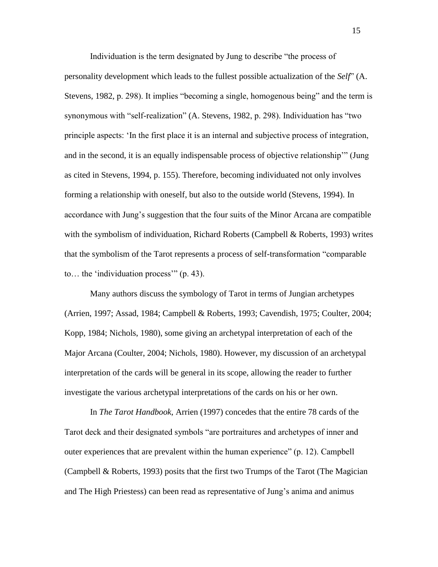Individuation is the term designated by Jung to describe "the process of personality development which leads to the fullest possible actualization of the *Self*" (A. Stevens, 1982, p. 298). It implies "becoming a single, homogenous being" and the term is synonymous with "self-realization" (A. Stevens, 1982, p. 298). Individuation has "two principle aspects: "In the first place it is an internal and subjective process of integration, and in the second, it is an equally indispensable process of objective relationship"" (Jung as cited in Stevens, 1994, p. 155). Therefore, becoming individuated not only involves forming a relationship with oneself, but also to the outside world (Stevens, 1994). In accordance with Jung"s suggestion that the four suits of the Minor Arcana are compatible with the symbolism of individuation, Richard Roberts (Campbell & Roberts, 1993) writes that the symbolism of the Tarot represents a process of self-transformation "comparable to… the "individuation process"" (p. 43).

Many authors discuss the symbology of Tarot in terms of Jungian archetypes (Arrien, 1997; Assad, 1984; Campbell & Roberts, 1993; Cavendish, 1975; Coulter, 2004; Kopp, 1984; Nichols, 1980), some giving an archetypal interpretation of each of the Major Arcana (Coulter, 2004; Nichols, 1980). However, my discussion of an archetypal interpretation of the cards will be general in its scope, allowing the reader to further investigate the various archetypal interpretations of the cards on his or her own.

In *The Tarot Handbook*, Arrien (1997) concedes that the entire 78 cards of the Tarot deck and their designated symbols "are portraitures and archetypes of inner and outer experiences that are prevalent within the human experience" (p. 12). Campbell (Campbell & Roberts, 1993) posits that the first two Trumps of the Tarot (The Magician and The High Priestess) can been read as representative of Jung"s anima and animus

15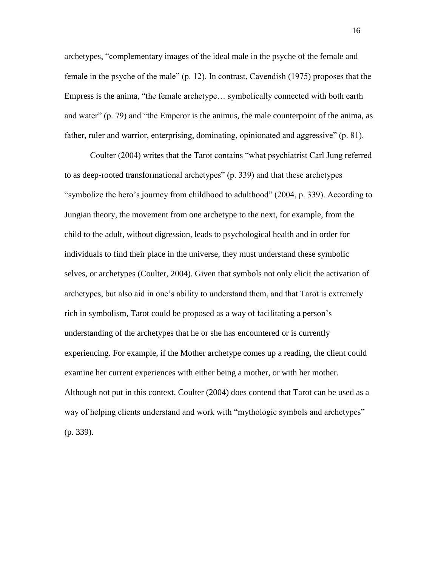archetypes, "complementary images of the ideal male in the psyche of the female and female in the psyche of the male" (p. 12). In contrast, Cavendish (1975) proposes that the Empress is the anima, "the female archetype… symbolically connected with both earth and water" (p. 79) and "the Emperor is the animus, the male counterpoint of the anima, as father, ruler and warrior, enterprising, dominating, opinionated and aggressive" (p. 81).

Coulter (2004) writes that the Tarot contains "what psychiatrist Carl Jung referred to as deep-rooted transformational archetypes" (p. 339) and that these archetypes "symbolize the hero's journey from childhood to adulthood" (2004, p. 339). According to Jungian theory, the movement from one archetype to the next, for example, from the child to the adult, without digression, leads to psychological health and in order for individuals to find their place in the universe, they must understand these symbolic selves, or archetypes (Coulter, 2004). Given that symbols not only elicit the activation of archetypes, but also aid in one"s ability to understand them, and that Tarot is extremely rich in symbolism, Tarot could be proposed as a way of facilitating a person"s understanding of the archetypes that he or she has encountered or is currently experiencing. For example, if the Mother archetype comes up a reading, the client could examine her current experiences with either being a mother, or with her mother. Although not put in this context, Coulter (2004) does contend that Tarot can be used as a way of helping clients understand and work with "mythologic symbols and archetypes" (p. 339).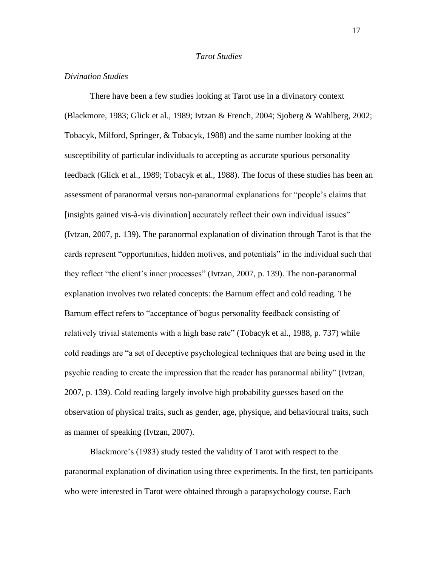# *Tarot Studies*

## *Divination Studies*

There have been a few studies looking at Tarot use in a divinatory context (Blackmore, 1983; Glick et al., 1989; Ivtzan & French, 2004; Sjoberg & Wahlberg, 2002; Tobacyk, Milford, Springer, & Tobacyk, 1988) and the same number looking at the susceptibility of particular individuals to accepting as accurate spurious personality feedback (Glick et al., 1989; Tobacyk et al., 1988). The focus of these studies has been an assessment of paranormal versus non-paranormal explanations for "people"s claims that [insights gained vis-à-vis divination] accurately reflect their own individual issues" (Ivtzan, 2007, p. 139). The paranormal explanation of divination through Tarot is that the cards represent "opportunities, hidden motives, and potentials" in the individual such that they reflect "the client"s inner processes" (Ivtzan, 2007, p. 139). The non-paranormal explanation involves two related concepts: the Barnum effect and cold reading. The Barnum effect refers to "acceptance of bogus personality feedback consisting of relatively trivial statements with a high base rate" (Tobacyk et al., 1988, p. 737) while cold readings are "a set of deceptive psychological techniques that are being used in the psychic reading to create the impression that the reader has paranormal ability" (Ivtzan, 2007, p. 139). Cold reading largely involve high probability guesses based on the observation of physical traits, such as gender, age, physique, and behavioural traits, such as manner of speaking (Ivtzan, 2007).

Blackmore's (1983) study tested the validity of Tarot with respect to the paranormal explanation of divination using three experiments. In the first, ten participants who were interested in Tarot were obtained through a parapsychology course. Each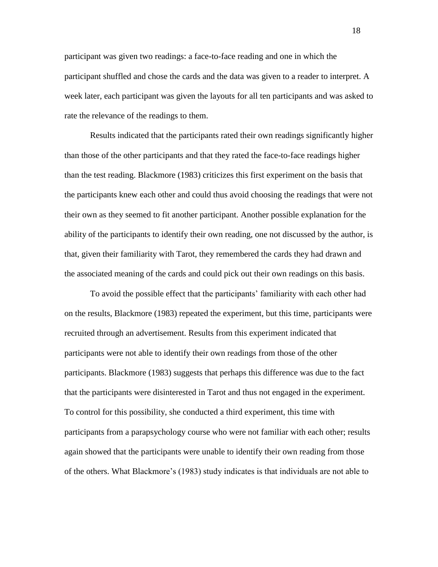participant was given two readings: a face-to-face reading and one in which the participant shuffled and chose the cards and the data was given to a reader to interpret. A week later, each participant was given the layouts for all ten participants and was asked to rate the relevance of the readings to them.

Results indicated that the participants rated their own readings significantly higher than those of the other participants and that they rated the face-to-face readings higher than the test reading. Blackmore (1983) criticizes this first experiment on the basis that the participants knew each other and could thus avoid choosing the readings that were not their own as they seemed to fit another participant. Another possible explanation for the ability of the participants to identify their own reading, one not discussed by the author, is that, given their familiarity with Tarot, they remembered the cards they had drawn and the associated meaning of the cards and could pick out their own readings on this basis.

To avoid the possible effect that the participants' familiarity with each other had on the results, Blackmore (1983) repeated the experiment, but this time, participants were recruited through an advertisement. Results from this experiment indicated that participants were not able to identify their own readings from those of the other participants. Blackmore (1983) suggests that perhaps this difference was due to the fact that the participants were disinterested in Tarot and thus not engaged in the experiment. To control for this possibility, she conducted a third experiment, this time with participants from a parapsychology course who were not familiar with each other; results again showed that the participants were unable to identify their own reading from those of the others. What Blackmore"s (1983) study indicates is that individuals are not able to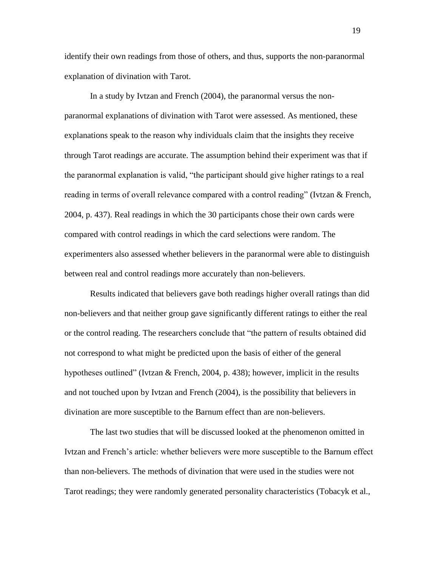identify their own readings from those of others, and thus, supports the non-paranormal explanation of divination with Tarot.

In a study by Ivtzan and French (2004), the paranormal versus the nonparanormal explanations of divination with Tarot were assessed. As mentioned, these explanations speak to the reason why individuals claim that the insights they receive through Tarot readings are accurate. The assumption behind their experiment was that if the paranormal explanation is valid, "the participant should give higher ratings to a real reading in terms of overall relevance compared with a control reading" (Ivtzan & French, 2004, p. 437). Real readings in which the 30 participants chose their own cards were compared with control readings in which the card selections were random. The experimenters also assessed whether believers in the paranormal were able to distinguish between real and control readings more accurately than non-believers.

Results indicated that believers gave both readings higher overall ratings than did non-believers and that neither group gave significantly different ratings to either the real or the control reading. The researchers conclude that "the pattern of results obtained did not correspond to what might be predicted upon the basis of either of the general hypotheses outlined" (Ivtzan & French, 2004, p. 438); however, implicit in the results and not touched upon by Ivtzan and French (2004), is the possibility that believers in divination are more susceptible to the Barnum effect than are non-believers.

The last two studies that will be discussed looked at the phenomenon omitted in Ivtzan and French"s article: whether believers were more susceptible to the Barnum effect than non-believers. The methods of divination that were used in the studies were not Tarot readings; they were randomly generated personality characteristics (Tobacyk et al.,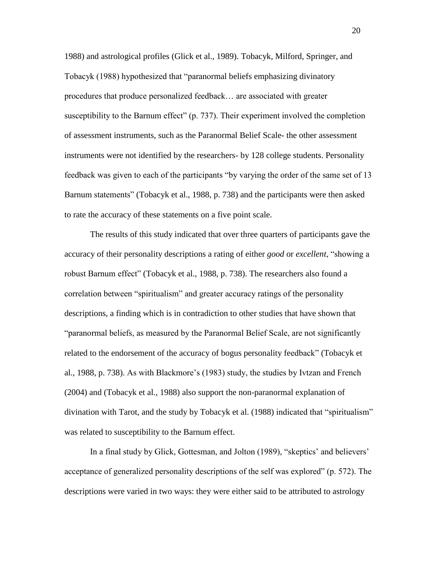1988) and astrological profiles (Glick et al., 1989). Tobacyk, Milford, Springer, and Tobacyk (1988) hypothesized that "paranormal beliefs emphasizing divinatory procedures that produce personalized feedback… are associated with greater susceptibility to the Barnum effect" (p. 737). Their experiment involved the completion of assessment instruments, such as the Paranormal Belief Scale- the other assessment instruments were not identified by the researchers- by 128 college students. Personality feedback was given to each of the participants "by varying the order of the same set of 13 Barnum statements" (Tobacyk et al., 1988, p. 738) and the participants were then asked to rate the accuracy of these statements on a five point scale.

The results of this study indicated that over three quarters of participants gave the accuracy of their personality descriptions a rating of either *good* or *excellent*, "showing a robust Barnum effect" (Tobacyk et al., 1988, p. 738). The researchers also found a correlation between "spiritualism" and greater accuracy ratings of the personality descriptions, a finding which is in contradiction to other studies that have shown that "paranormal beliefs, as measured by the Paranormal Belief Scale, are not significantly related to the endorsement of the accuracy of bogus personality feedback" (Tobacyk et al., 1988, p. 738). As with Blackmore"s (1983) study, the studies by Ivtzan and French (2004) and (Tobacyk et al., 1988) also support the non-paranormal explanation of divination with Tarot, and the study by Tobacyk et al. (1988) indicated that "spiritualism" was related to susceptibility to the Barnum effect.

In a final study by Glick, Gottesman, and Jolton (1989), "skeptics" and believers" acceptance of generalized personality descriptions of the self was explored" (p. 572). The descriptions were varied in two ways: they were either said to be attributed to astrology

20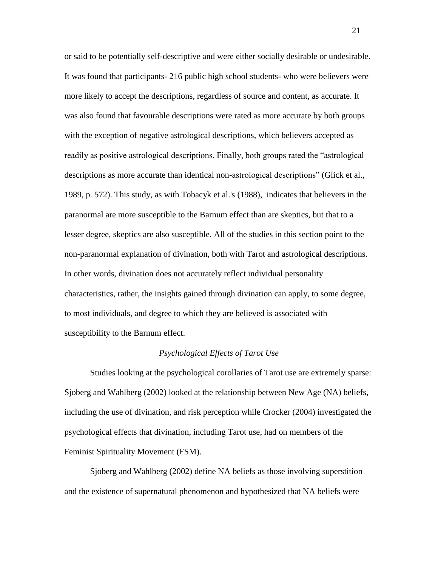or said to be potentially self-descriptive and were either socially desirable or undesirable. It was found that participants- 216 public high school students- who were believers were more likely to accept the descriptions, regardless of source and content, as accurate. It was also found that favourable descriptions were rated as more accurate by both groups with the exception of negative astrological descriptions, which believers accepted as readily as positive astrological descriptions. Finally, both groups rated the "astrological descriptions as more accurate than identical non-astrological descriptions" (Glick et al., 1989, p. 572). This study, as with Tobacyk et al.'s (1988), indicates that believers in the paranormal are more susceptible to the Barnum effect than are skeptics, but that to a lesser degree, skeptics are also susceptible. All of the studies in this section point to the non-paranormal explanation of divination, both with Tarot and astrological descriptions. In other words, divination does not accurately reflect individual personality characteristics, rather, the insights gained through divination can apply, to some degree, to most individuals, and degree to which they are believed is associated with susceptibility to the Barnum effect.

## *Psychological Effects of Tarot Use*

Studies looking at the psychological corollaries of Tarot use are extremely sparse: Sjoberg and Wahlberg (2002) looked at the relationship between New Age (NA) beliefs, including the use of divination, and risk perception while Crocker (2004) investigated the psychological effects that divination, including Tarot use, had on members of the Feminist Spirituality Movement (FSM).

Sjoberg and Wahlberg (2002) define NA beliefs as those involving superstition and the existence of supernatural phenomenon and hypothesized that NA beliefs were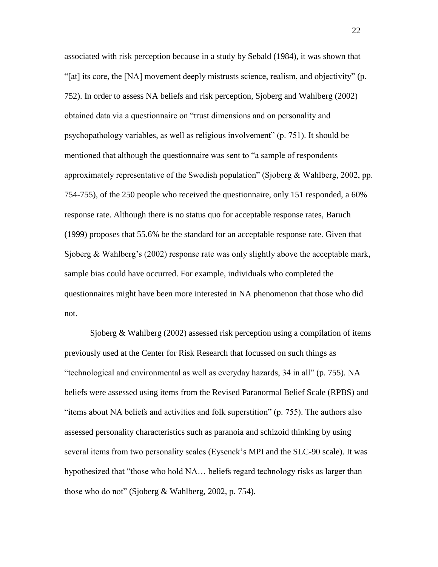associated with risk perception because in a study by Sebald (1984), it was shown that "[at] its core, the [NA] movement deeply mistrusts science, realism, and objectivity" (p. 752). In order to assess NA beliefs and risk perception, Sjoberg and Wahlberg (2002) obtained data via a questionnaire on "trust dimensions and on personality and psychopathology variables, as well as religious involvement" (p. 751). It should be mentioned that although the questionnaire was sent to "a sample of respondents approximately representative of the Swedish population" (Sjoberg & Wahlberg, 2002, pp. 754-755), of the 250 people who received the questionnaire, only 151 responded, a 60% response rate. Although there is no status quo for acceptable response rates, Baruch (1999) proposes that 55.6% be the standard for an acceptable response rate. Given that Sjoberg  $&$  Wahlberg's (2002) response rate was only slightly above the acceptable mark, sample bias could have occurred. For example, individuals who completed the questionnaires might have been more interested in NA phenomenon that those who did not.

Sjoberg & Wahlberg (2002) assessed risk perception using a compilation of items previously used at the Center for Risk Research that focussed on such things as "technological and environmental as well as everyday hazards, 34 in all" (p. 755). NA beliefs were assessed using items from the Revised Paranormal Belief Scale (RPBS) and "items about NA beliefs and activities and folk superstition" (p. 755). The authors also assessed personality characteristics such as paranoia and schizoid thinking by using several items from two personality scales (Eysenck"s MPI and the SLC-90 scale). It was hypothesized that "those who hold NA… beliefs regard technology risks as larger than those who do not" (Sjoberg & Wahlberg, 2002, p. 754).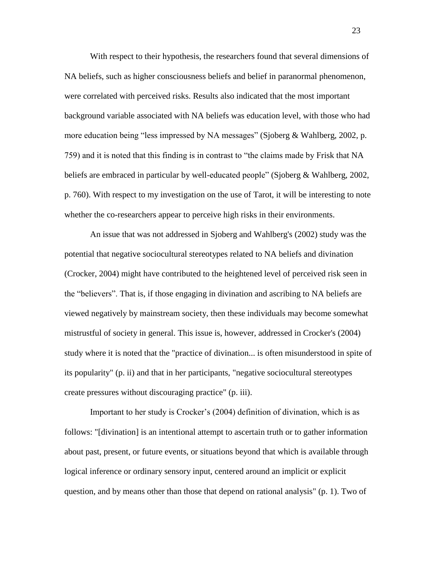With respect to their hypothesis, the researchers found that several dimensions of NA beliefs, such as higher consciousness beliefs and belief in paranormal phenomenon, were correlated with perceived risks. Results also indicated that the most important background variable associated with NA beliefs was education level, with those who had more education being "less impressed by NA messages" (Sjoberg & Wahlberg, 2002, p. 759) and it is noted that this finding is in contrast to "the claims made by Frisk that NA beliefs are embraced in particular by well-educated people" (Sjoberg & Wahlberg, 2002, p. 760). With respect to my investigation on the use of Tarot, it will be interesting to note whether the co-researchers appear to perceive high risks in their environments.

An issue that was not addressed in Sjoberg and Wahlberg's (2002) study was the potential that negative sociocultural stereotypes related to NA beliefs and divination (Crocker, 2004) might have contributed to the heightened level of perceived risk seen in the "believers". That is, if those engaging in divination and ascribing to NA beliefs are viewed negatively by mainstream society, then these individuals may become somewhat mistrustful of society in general. This issue is, however, addressed in Crocker's (2004) study where it is noted that the "practice of divination... is often misunderstood in spite of its popularity" (p. ii) and that in her participants, "negative sociocultural stereotypes create pressures without discouraging practice" (p. iii).

Important to her study is Crocker"s (2004) definition of divination, which is as follows: "[divination] is an intentional attempt to ascertain truth or to gather information about past, present, or future events, or situations beyond that which is available through logical inference or ordinary sensory input, centered around an implicit or explicit question, and by means other than those that depend on rational analysis" (p. 1). Two of

23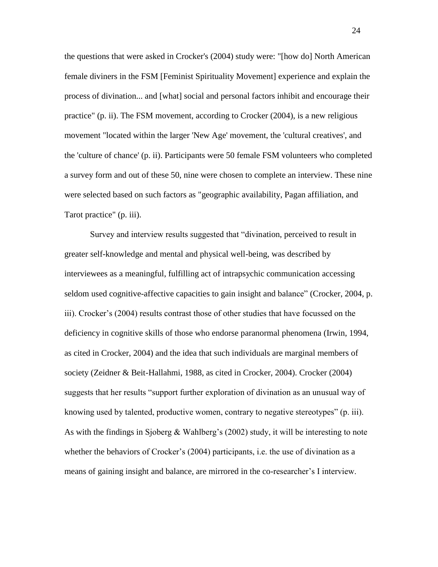the questions that were asked in Crocker's (2004) study were: "[how do] North American female diviners in the FSM [Feminist Spirituality Movement] experience and explain the process of divination... and [what] social and personal factors inhibit and encourage their practice" (p. ii). The FSM movement, according to Crocker (2004), is a new religious movement "located within the larger 'New Age' movement, the 'cultural creatives', and the 'culture of chance' (p. ii). Participants were 50 female FSM volunteers who completed a survey form and out of these 50, nine were chosen to complete an interview. These nine were selected based on such factors as "geographic availability, Pagan affiliation, and Tarot practice" (p. iii).

Survey and interview results suggested that "divination, perceived to result in greater self-knowledge and mental and physical well-being, was described by interviewees as a meaningful, fulfilling act of intrapsychic communication accessing seldom used cognitive-affective capacities to gain insight and balance" (Crocker, 2004, p. iii). Crocker"s (2004) results contrast those of other studies that have focussed on the deficiency in cognitive skills of those who endorse paranormal phenomena (Irwin, 1994, as cited in Crocker, 2004) and the idea that such individuals are marginal members of society (Zeidner & Beit-Hallahmi, 1988, as cited in Crocker, 2004). Crocker (2004) suggests that her results "support further exploration of divination as an unusual way of knowing used by talented, productive women, contrary to negative stereotypes" (p. iii). As with the findings in Sjoberg & Wahlberg's (2002) study, it will be interesting to note whether the behaviors of Crocker's (2004) participants, i.e. the use of divination as a means of gaining insight and balance, are mirrored in the co-researcher"s I interview.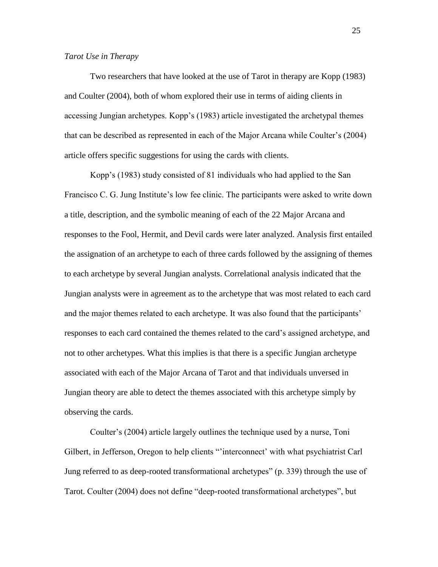#### *Tarot Use in Therapy*

Two researchers that have looked at the use of Tarot in therapy are Kopp (1983) and Coulter (2004), both of whom explored their use in terms of aiding clients in accessing Jungian archetypes. Kopp"s (1983) article investigated the archetypal themes that can be described as represented in each of the Major Arcana while Coulter"s (2004) article offers specific suggestions for using the cards with clients.

Kopp"s (1983) study consisted of 81 individuals who had applied to the San Francisco C. G. Jung Institute's low fee clinic. The participants were asked to write down a title, description, and the symbolic meaning of each of the 22 Major Arcana and responses to the Fool, Hermit, and Devil cards were later analyzed. Analysis first entailed the assignation of an archetype to each of three cards followed by the assigning of themes to each archetype by several Jungian analysts. Correlational analysis indicated that the Jungian analysts were in agreement as to the archetype that was most related to each card and the major themes related to each archetype. It was also found that the participants' responses to each card contained the themes related to the card"s assigned archetype, and not to other archetypes. What this implies is that there is a specific Jungian archetype associated with each of the Major Arcana of Tarot and that individuals unversed in Jungian theory are able to detect the themes associated with this archetype simply by observing the cards.

Coulter's (2004) article largely outlines the technique used by a nurse, Toni Gilbert, in Jefferson, Oregon to help clients ""interconnect" with what psychiatrist Carl Jung referred to as deep-rooted transformational archetypes" (p. 339) through the use of Tarot. Coulter (2004) does not define "deep-rooted transformational archetypes", but

25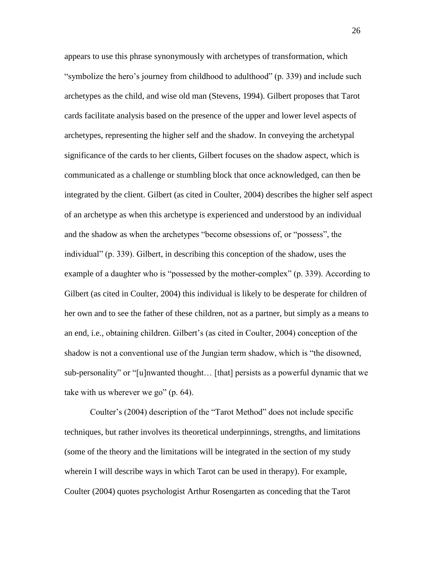appears to use this phrase synonymously with archetypes of transformation, which "symbolize the hero's journey from childhood to adulthood" (p. 339) and include such archetypes as the child, and wise old man (Stevens, 1994). Gilbert proposes that Tarot cards facilitate analysis based on the presence of the upper and lower level aspects of archetypes, representing the higher self and the shadow. In conveying the archetypal significance of the cards to her clients, Gilbert focuses on the shadow aspect, which is communicated as a challenge or stumbling block that once acknowledged, can then be integrated by the client. Gilbert (as cited in Coulter, 2004) describes the higher self aspect of an archetype as when this archetype is experienced and understood by an individual and the shadow as when the archetypes "become obsessions of, or "possess", the individual" (p. 339). Gilbert, in describing this conception of the shadow, uses the example of a daughter who is "possessed by the mother-complex" (p. 339). According to Gilbert (as cited in Coulter, 2004) this individual is likely to be desperate for children of her own and to see the father of these children, not as a partner, but simply as a means to an end, i.e., obtaining children. Gilbert"s (as cited in Coulter, 2004) conception of the shadow is not a conventional use of the Jungian term shadow, which is "the disowned, sub-personality" or "[u]nwanted thought… [that] persists as a powerful dynamic that we take with us wherever we go" (p. 64).

Coulter"s (2004) description of the "Tarot Method" does not include specific techniques, but rather involves its theoretical underpinnings, strengths, and limitations (some of the theory and the limitations will be integrated in the section of my study wherein I will describe ways in which Tarot can be used in therapy). For example, Coulter (2004) quotes psychologist Arthur Rosengarten as conceding that the Tarot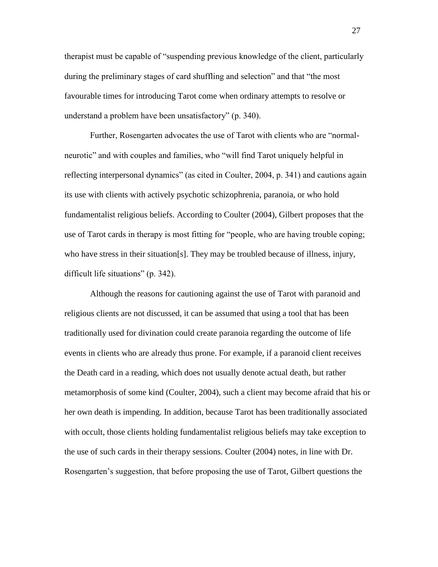therapist must be capable of "suspending previous knowledge of the client, particularly during the preliminary stages of card shuffling and selection" and that "the most favourable times for introducing Tarot come when ordinary attempts to resolve or understand a problem have been unsatisfactory" (p. 340).

Further, Rosengarten advocates the use of Tarot with clients who are "normalneurotic" and with couples and families, who "will find Tarot uniquely helpful in reflecting interpersonal dynamics" (as cited in Coulter, 2004, p. 341) and cautions again its use with clients with actively psychotic schizophrenia, paranoia, or who hold fundamentalist religious beliefs. According to Coulter (2004), Gilbert proposes that the use of Tarot cards in therapy is most fitting for "people, who are having trouble coping; who have stress in their situation[s]. They may be troubled because of illness, injury, difficult life situations" (p. 342).

Although the reasons for cautioning against the use of Tarot with paranoid and religious clients are not discussed, it can be assumed that using a tool that has been traditionally used for divination could create paranoia regarding the outcome of life events in clients who are already thus prone. For example, if a paranoid client receives the Death card in a reading, which does not usually denote actual death, but rather metamorphosis of some kind (Coulter, 2004), such a client may become afraid that his or her own death is impending. In addition, because Tarot has been traditionally associated with occult, those clients holding fundamentalist religious beliefs may take exception to the use of such cards in their therapy sessions. Coulter (2004) notes, in line with Dr. Rosengarten"s suggestion, that before proposing the use of Tarot, Gilbert questions the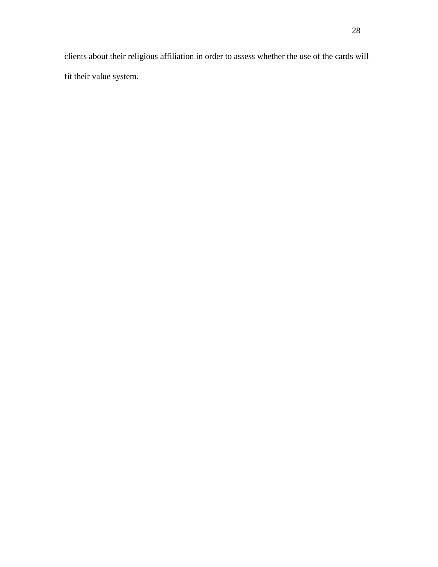clients about their religious affiliation in order to assess whether the use of the cards will fit their value system.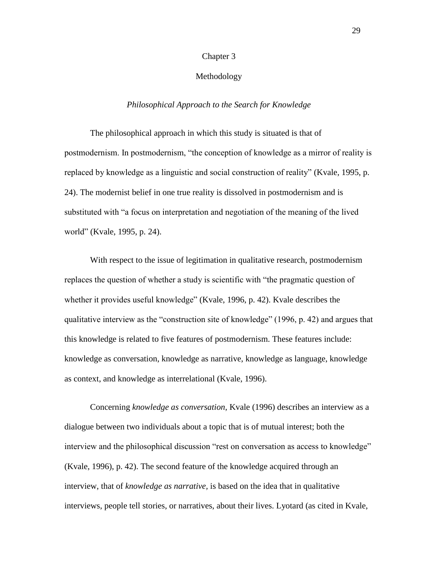#### Chapter 3

# Methodology

#### *Philosophical Approach to the Search for Knowledge*

The philosophical approach in which this study is situated is that of postmodernism. In postmodernism, "the conception of knowledge as a mirror of reality is replaced by knowledge as a linguistic and social construction of reality" (Kvale, 1995, p. 24). The modernist belief in one true reality is dissolved in postmodernism and is substituted with "a focus on interpretation and negotiation of the meaning of the lived world" (Kvale, 1995, p. 24).

With respect to the issue of legitimation in qualitative research, postmodernism replaces the question of whether a study is scientific with "the pragmatic question of whether it provides useful knowledge" (Kvale, 1996, p. 42). Kvale describes the qualitative interview as the "construction site of knowledge" (1996, p. 42) and argues that this knowledge is related to five features of postmodernism. These features include: knowledge as conversation, knowledge as narrative, knowledge as language, knowledge as context, and knowledge as interrelational (Kvale, 1996).

Concerning *knowledge as conversation*, Kvale (1996) describes an interview as a dialogue between two individuals about a topic that is of mutual interest; both the interview and the philosophical discussion "rest on conversation as access to knowledge" (Kvale, 1996), p. 42). The second feature of the knowledge acquired through an interview, that of *knowledge as narrative,* is based on the idea that in qualitative interviews, people tell stories, or narratives, about their lives. Lyotard (as cited in Kvale,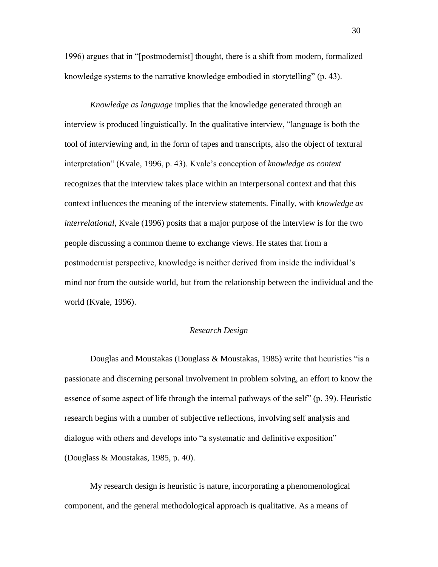1996) argues that in "[postmodernist] thought, there is a shift from modern, formalized knowledge systems to the narrative knowledge embodied in storytelling" (p. 43).

*Knowledge as language* implies that the knowledge generated through an interview is produced linguistically. In the qualitative interview, "language is both the tool of interviewing and, in the form of tapes and transcripts, also the object of textural interpretation" (Kvale, 1996, p. 43). Kvale"s conception of *knowledge as context* recognizes that the interview takes place within an interpersonal context and that this context influences the meaning of the interview statements. Finally, with *knowledge as interrelational*, Kvale (1996) posits that a major purpose of the interview is for the two people discussing a common theme to exchange views. He states that from a postmodernist perspective, knowledge is neither derived from inside the individual"s mind nor from the outside world, but from the relationship between the individual and the world (Kvale, 1996).

### *Research Design*

Douglas and Moustakas (Douglass & Moustakas, 1985) write that heuristics "is a passionate and discerning personal involvement in problem solving, an effort to know the essence of some aspect of life through the internal pathways of the self" (p. 39). Heuristic research begins with a number of subjective reflections, involving self analysis and dialogue with others and develops into "a systematic and definitive exposition" (Douglass & Moustakas, 1985, p. 40).

My research design is heuristic is nature, incorporating a phenomenological component, and the general methodological approach is qualitative. As a means of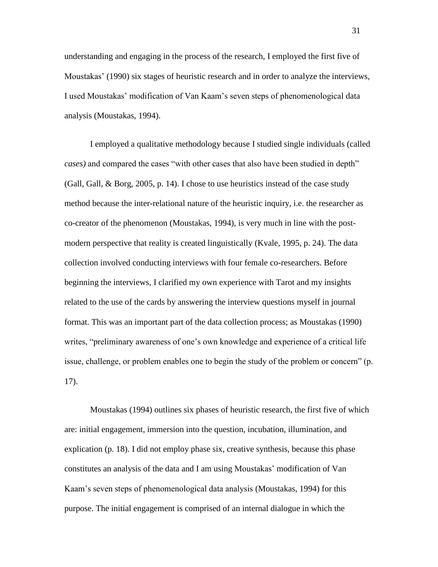understanding and engaging in the process of the research, I employed the first five of Moustakas" (1990) six stages of heuristic research and in order to analyze the interviews, I used Moustakas" modification of Van Kaam"s seven steps of phenomenological data analysis (Moustakas, 1994).

I employed a qualitative methodology because I studied single individuals (called *cases)* and compared the cases "with other cases that also have been studied in depth" (Gall, Gall, & Borg, 2005, p. 14). I chose to use heuristics instead of the case study method because the inter-relational nature of the heuristic inquiry, i.e. the researcher as co-creator of the phenomenon (Moustakas, 1994), is very much in line with the postmodern perspective that reality is created linguistically (Kvale, 1995, p. 24). The data collection involved conducting interviews with four female co-researchers. Before beginning the interviews, I clarified my own experience with Tarot and my insights related to the use of the cards by answering the interview questions myself in journal format. This was an important part of the data collection process; as Moustakas (1990) writes, "preliminary awareness of one's own knowledge and experience of a critical life issue, challenge, or problem enables one to begin the study of the problem or concern" (p. 17).

Moustakas (1994) outlines six phases of heuristic research, the first five of which are: initial engagement, immersion into the question, incubation, illumination, and explication (p. 18). I did not employ phase six, creative synthesis, because this phase constitutes an analysis of the data and I am using Moustakas" modification of Van Kaam"s seven steps of phenomenological data analysis (Moustakas, 1994) for this purpose. The initial engagement is comprised of an internal dialogue in which the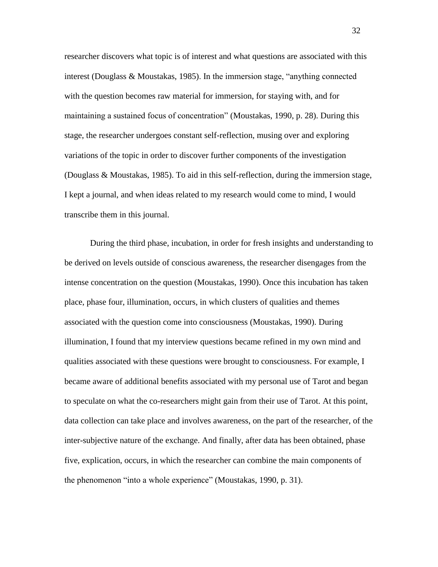researcher discovers what topic is of interest and what questions are associated with this interest (Douglass & Moustakas, 1985). In the immersion stage, "anything connected with the question becomes raw material for immersion, for staying with, and for maintaining a sustained focus of concentration" (Moustakas, 1990, p. 28). During this stage, the researcher undergoes constant self-reflection, musing over and exploring variations of the topic in order to discover further components of the investigation (Douglass & Moustakas, 1985). To aid in this self-reflection, during the immersion stage, I kept a journal, and when ideas related to my research would come to mind, I would transcribe them in this journal.

During the third phase, incubation, in order for fresh insights and understanding to be derived on levels outside of conscious awareness, the researcher disengages from the intense concentration on the question (Moustakas, 1990). Once this incubation has taken place, phase four, illumination, occurs, in which clusters of qualities and themes associated with the question come into consciousness (Moustakas, 1990). During illumination, I found that my interview questions became refined in my own mind and qualities associated with these questions were brought to consciousness. For example, I became aware of additional benefits associated with my personal use of Tarot and began to speculate on what the co-researchers might gain from their use of Tarot. At this point, data collection can take place and involves awareness, on the part of the researcher, of the inter-subjective nature of the exchange. And finally, after data has been obtained, phase five, explication, occurs, in which the researcher can combine the main components of the phenomenon "into a whole experience" (Moustakas, 1990, p. 31).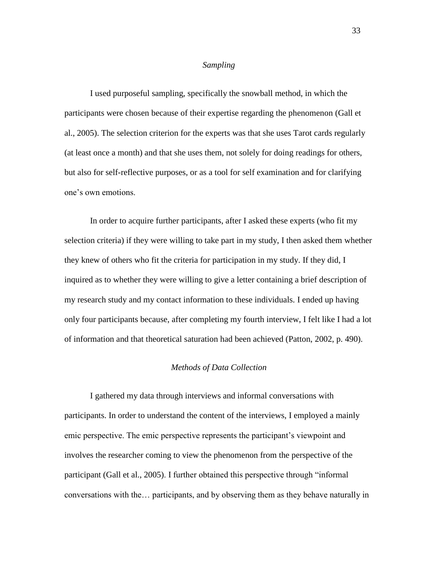## *Sampling*

I used purposeful sampling, specifically the snowball method, in which the participants were chosen because of their expertise regarding the phenomenon (Gall et al., 2005). The selection criterion for the experts was that she uses Tarot cards regularly (at least once a month) and that she uses them, not solely for doing readings for others, but also for self-reflective purposes, or as a tool for self examination and for clarifying one"s own emotions.

In order to acquire further participants, after I asked these experts (who fit my selection criteria) if they were willing to take part in my study, I then asked them whether they knew of others who fit the criteria for participation in my study. If they did, I inquired as to whether they were willing to give a letter containing a brief description of my research study and my contact information to these individuals. I ended up having only four participants because, after completing my fourth interview, I felt like I had a lot of information and that theoretical saturation had been achieved (Patton, 2002, p. 490).

# *Methods of Data Collection*

I gathered my data through interviews and informal conversations with participants. In order to understand the content of the interviews, I employed a mainly emic perspective. The emic perspective represents the participant's viewpoint and involves the researcher coming to view the phenomenon from the perspective of the participant (Gall et al., 2005). I further obtained this perspective through "informal conversations with the… participants, and by observing them as they behave naturally in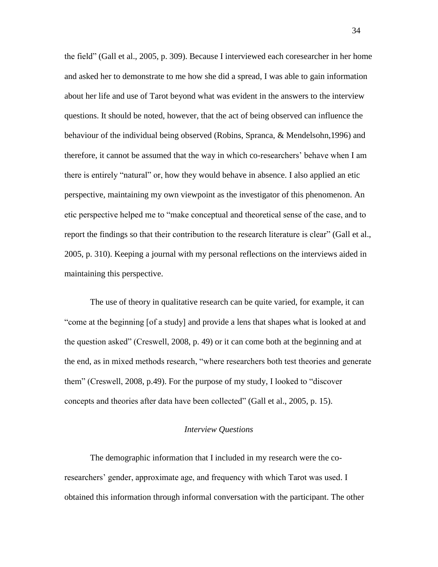the field" (Gall et al., 2005, p. 309). Because I interviewed each coresearcher in her home and asked her to demonstrate to me how she did a spread, I was able to gain information about her life and use of Tarot beyond what was evident in the answers to the interview questions. It should be noted, however, that the act of being observed can influence the behaviour of the individual being observed (Robins, Spranca, & Mendelsohn,1996) and therefore, it cannot be assumed that the way in which co-researchers" behave when I am there is entirely "natural" or, how they would behave in absence. I also applied an etic perspective, maintaining my own viewpoint as the investigator of this phenomenon. An etic perspective helped me to "make conceptual and theoretical sense of the case, and to report the findings so that their contribution to the research literature is clear" (Gall et al., 2005, p. 310). Keeping a journal with my personal reflections on the interviews aided in maintaining this perspective.

The use of theory in qualitative research can be quite varied, for example, it can "come at the beginning [of a study] and provide a lens that shapes what is looked at and the question asked" (Creswell, 2008, p. 49) or it can come both at the beginning and at the end, as in mixed methods research, "where researchers both test theories and generate them" (Creswell, 2008, p.49). For the purpose of my study, I looked to "discover concepts and theories after data have been collected" (Gall et al., 2005, p. 15).

# *Interview Questions*

The demographic information that I included in my research were the coresearchers" gender, approximate age, and frequency with which Tarot was used. I obtained this information through informal conversation with the participant. The other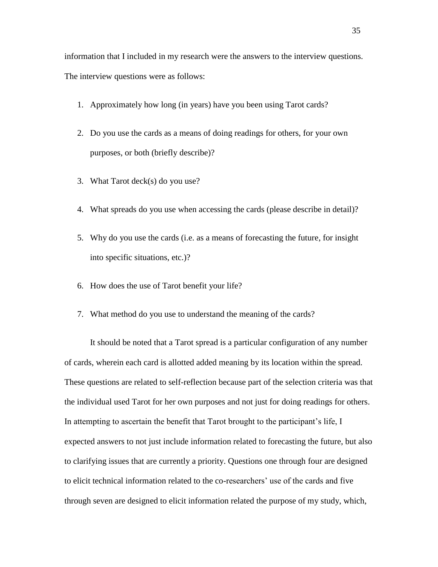information that I included in my research were the answers to the interview questions. The interview questions were as follows:

- 1. Approximately how long (in years) have you been using Tarot cards?
- 2. Do you use the cards as a means of doing readings for others, for your own purposes, or both (briefly describe)?
- 3. What Tarot deck(s) do you use?
- 4. What spreads do you use when accessing the cards (please describe in detail)?
- 5. Why do you use the cards (i.e. as a means of forecasting the future, for insight into specific situations, etc.)?
- 6. How does the use of Tarot benefit your life?
- 7. What method do you use to understand the meaning of the cards?

It should be noted that a Tarot spread is a particular configuration of any number of cards, wherein each card is allotted added meaning by its location within the spread. These questions are related to self-reflection because part of the selection criteria was that the individual used Tarot for her own purposes and not just for doing readings for others. In attempting to ascertain the benefit that Tarot brought to the participant"s life, I expected answers to not just include information related to forecasting the future, but also to clarifying issues that are currently a priority. Questions one through four are designed to elicit technical information related to the co-researchers" use of the cards and five through seven are designed to elicit information related the purpose of my study, which,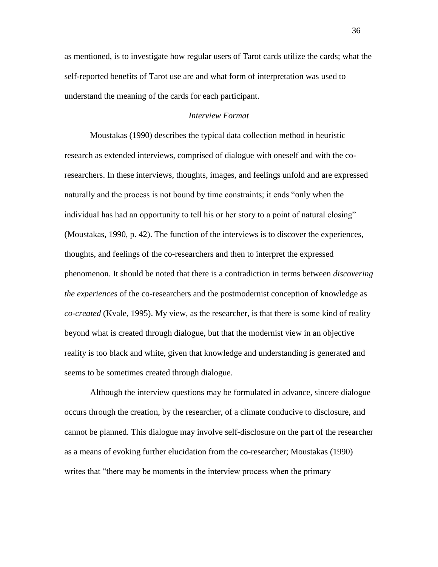as mentioned, is to investigate how regular users of Tarot cards utilize the cards; what the self-reported benefits of Tarot use are and what form of interpretation was used to understand the meaning of the cards for each participant.

## *Interview Format*

Moustakas (1990) describes the typical data collection method in heuristic research as extended interviews, comprised of dialogue with oneself and with the coresearchers. In these interviews, thoughts, images, and feelings unfold and are expressed naturally and the process is not bound by time constraints; it ends "only when the individual has had an opportunity to tell his or her story to a point of natural closing" (Moustakas, 1990, p. 42). The function of the interviews is to discover the experiences, thoughts, and feelings of the co-researchers and then to interpret the expressed phenomenon. It should be noted that there is a contradiction in terms between *discovering the experiences* of the co-researchers and the postmodernist conception of knowledge as *co-created* (Kvale, 1995). My view, as the researcher, is that there is some kind of reality beyond what is created through dialogue, but that the modernist view in an objective reality is too black and white, given that knowledge and understanding is generated and seems to be sometimes created through dialogue.

Although the interview questions may be formulated in advance, sincere dialogue occurs through the creation, by the researcher, of a climate conducive to disclosure, and cannot be planned. This dialogue may involve self-disclosure on the part of the researcher as a means of evoking further elucidation from the co-researcher; Moustakas (1990) writes that "there may be moments in the interview process when the primary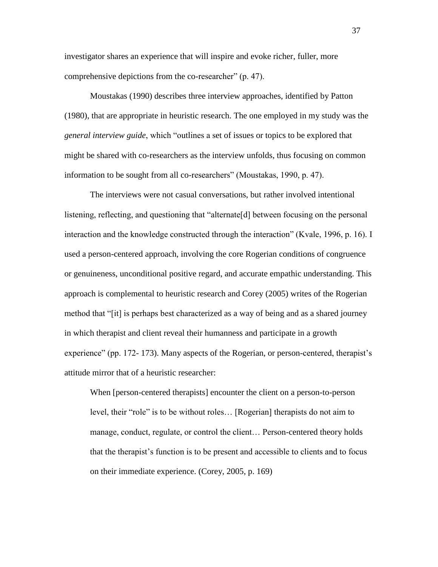investigator shares an experience that will inspire and evoke richer, fuller, more comprehensive depictions from the co-researcher" (p. 47).

Moustakas (1990) describes three interview approaches, identified by Patton (1980), that are appropriate in heuristic research. The one employed in my study was the *general interview guide*, which "outlines a set of issues or topics to be explored that might be shared with co-researchers as the interview unfolds, thus focusing on common information to be sought from all co-researchers" (Moustakas, 1990, p. 47).

The interviews were not casual conversations, but rather involved intentional listening, reflecting, and questioning that "alternate[d] between focusing on the personal interaction and the knowledge constructed through the interaction" (Kvale, 1996, p. 16). I used a person-centered approach, involving the core Rogerian conditions of congruence or genuineness, unconditional positive regard, and accurate empathic understanding. This approach is complemental to heuristic research and Corey (2005) writes of the Rogerian method that "[it] is perhaps best characterized as a way of being and as a shared journey in which therapist and client reveal their humanness and participate in a growth experience" (pp. 172- 173). Many aspects of the Rogerian, or person-centered, therapist's attitude mirror that of a heuristic researcher:

When [person-centered therapists] encounter the client on a person-to-person level, their "role" is to be without roles… [Rogerian] therapists do not aim to manage, conduct, regulate, or control the client… Person-centered theory holds that the therapist"s function is to be present and accessible to clients and to focus on their immediate experience. (Corey, 2005, p. 169)

37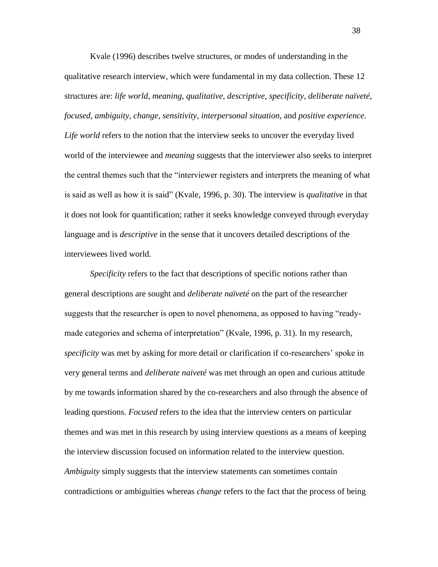Kvale (1996) describes twelve structures, or modes of understanding in the qualitative research interview, which were fundamental in my data collection. These 12 structures are: *life world*, *meaning*, *qualitative*, *descriptive*, *specificity*, *deliberate naïveté*, *focused*, *ambiguity*, *change*, *sensitivity*, *interpersonal situation*, and *positive experience*. *Life world* refers to the notion that the interview seeks to uncover the everyday lived world of the interviewee and *meaning* suggests that the interviewer also seeks to interpret the central themes such that the "interviewer registers and interprets the meaning of what is said as well as how it is said" (Kvale, 1996, p. 30). The interview is *qualitative* in that it does not look for quantification; rather it seeks knowledge conveyed through everyday language and is *descriptive* in the sense that it uncovers detailed descriptions of the interviewees lived world.

*Specificity* refers to the fact that descriptions of specific notions rather than general descriptions are sought and *deliberate naïveté* on the part of the researcher suggests that the researcher is open to novel phenomena, as opposed to having "readymade categories and schema of interpretation" (Kvale, 1996, p. 31). In my research, *specificity* was met by asking for more detail or clarification if co-researchers' spoke in very general terms and *deliberate naiveté* was met through an open and curious attitude by me towards information shared by the co-researchers and also through the absence of leading questions. *Focused* refers to the idea that the interview centers on particular themes and was met in this research by using interview questions as a means of keeping the interview discussion focused on information related to the interview question. *Ambiguity* simply suggests that the interview statements can sometimes contain contradictions or ambiguities whereas *change* refers to the fact that the process of being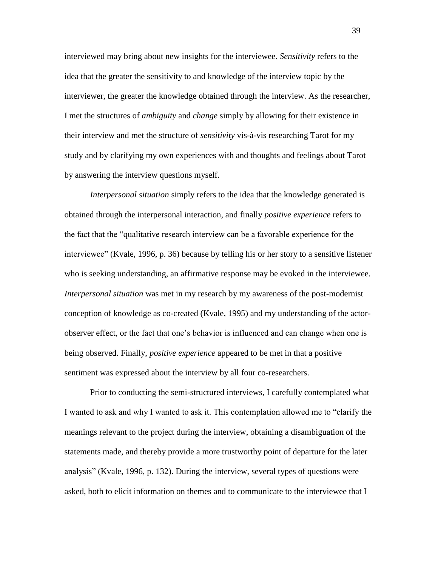interviewed may bring about new insights for the interviewee. *Sensitivity* refers to the idea that the greater the sensitivity to and knowledge of the interview topic by the interviewer, the greater the knowledge obtained through the interview. As the researcher, I met the structures of *ambiguity* and *change* simply by allowing for their existence in their interview and met the structure of *sensitivity* vis-à-vis researching Tarot for my study and by clarifying my own experiences with and thoughts and feelings about Tarot by answering the interview questions myself.

*Interpersonal situation* simply refers to the idea that the knowledge generated is obtained through the interpersonal interaction, and finally *positive experience* refers to the fact that the "qualitative research interview can be a favorable experience for the interviewee" (Kvale, 1996, p. 36) because by telling his or her story to a sensitive listener who is seeking understanding, an affirmative response may be evoked in the interviewee. *Interpersonal situation* was met in my research by my awareness of the post-modernist conception of knowledge as co-created (Kvale, 1995) and my understanding of the actorobserver effect, or the fact that one"s behavior is influenced and can change when one is being observed. Finally, *positive experience* appeared to be met in that a positive sentiment was expressed about the interview by all four co-researchers.

Prior to conducting the semi-structured interviews, I carefully contemplated what I wanted to ask and why I wanted to ask it. This contemplation allowed me to "clarify the meanings relevant to the project during the interview, obtaining a disambiguation of the statements made, and thereby provide a more trustworthy point of departure for the later analysis" (Kvale, 1996, p. 132). During the interview, several types of questions were asked, both to elicit information on themes and to communicate to the interviewee that I

39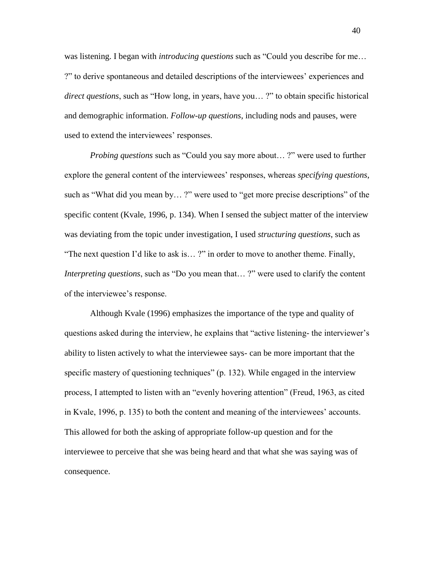was listening. I began with *introducing questions* such as "Could you describe for me… ?" to derive spontaneous and detailed descriptions of the interviewees" experiences and *direct questions*, such as "How long, in years, have you… ?" to obtain specific historical and demographic information. *Follow-up questions*, including nods and pauses, were used to extend the interviewees' responses.

*Probing questions* such as "Could you say more about… ?" were used to further explore the general content of the interviewees' responses, whereas *specifying questions*, such as "What did you mean by… ?" were used to "get more precise descriptions" of the specific content (Kvale, 1996, p. 134). When I sensed the subject matter of the interview was deviating from the topic under investigation, I used *structuring questions*, such as "The next question I"d like to ask is… ?" in order to move to another theme. Finally, *Interpreting questions*, such as "Do you mean that...?" were used to clarify the content of the interviewee"s response.

Although Kvale (1996) emphasizes the importance of the type and quality of questions asked during the interview, he explains that "active listening- the interviewer"s ability to listen actively to what the interviewee says- can be more important that the specific mastery of questioning techniques" (p. 132). While engaged in the interview process, I attempted to listen with an "evenly hovering attention" (Freud, 1963, as cited in Kvale, 1996, p. 135) to both the content and meaning of the interviewees" accounts. This allowed for both the asking of appropriate follow-up question and for the interviewee to perceive that she was being heard and that what she was saying was of consequence.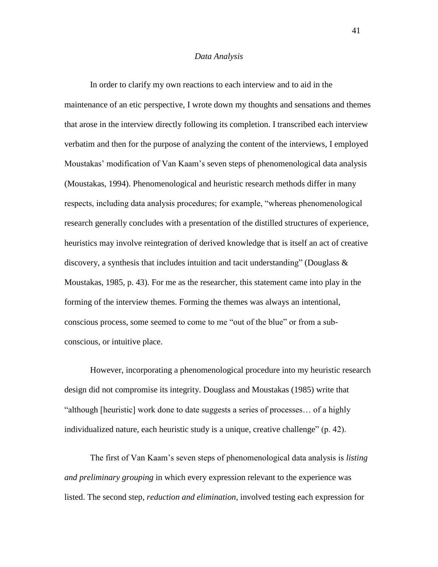#### *Data Analysis*

In order to clarify my own reactions to each interview and to aid in the maintenance of an etic perspective, I wrote down my thoughts and sensations and themes that arose in the interview directly following its completion. I transcribed each interview verbatim and then for the purpose of analyzing the content of the interviews, I employed Moustakas" modification of Van Kaam"s seven steps of phenomenological data analysis (Moustakas, 1994). Phenomenological and heuristic research methods differ in many respects, including data analysis procedures; for example, "whereas phenomenological research generally concludes with a presentation of the distilled structures of experience, heuristics may involve reintegration of derived knowledge that is itself an act of creative discovery, a synthesis that includes intuition and tacit understanding" (Douglass  $\&$ Moustakas, 1985, p. 43). For me as the researcher, this statement came into play in the forming of the interview themes. Forming the themes was always an intentional, conscious process, some seemed to come to me "out of the blue" or from a subconscious, or intuitive place.

However, incorporating a phenomenological procedure into my heuristic research design did not compromise its integrity. Douglass and Moustakas (1985) write that "although [heuristic] work done to date suggests a series of processes… of a highly individualized nature, each heuristic study is a unique, creative challenge" (p. 42).

The first of Van Kaam"s seven steps of phenomenological data analysis is *listing and preliminary grouping* in which every expression relevant to the experience was listed. The second step, *reduction and elimination*, involved testing each expression for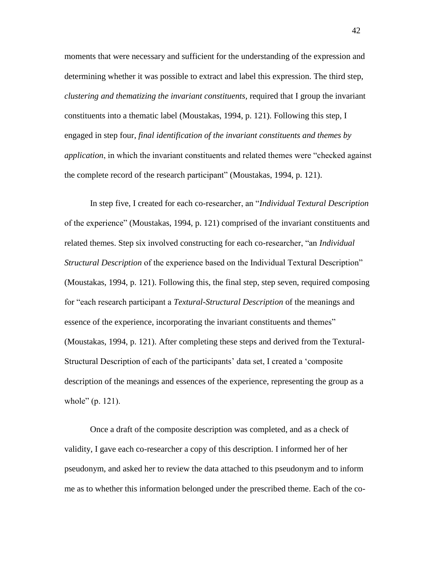moments that were necessary and sufficient for the understanding of the expression and determining whether it was possible to extract and label this expression. The third step, *clustering and thematizing the invariant constituents,* required that I group the invariant constituents into a thematic label (Moustakas, 1994, p. 121). Following this step, I engaged in step four, *final identification of the invariant constituents and themes by application*, in which the invariant constituents and related themes were "checked against the complete record of the research participant" (Moustakas, 1994, p. 121).

In step five, I created for each co-researcher, an "*Individual Textural Description* of the experience" (Moustakas, 1994, p. 121) comprised of the invariant constituents and related themes. Step six involved constructing for each co-researcher, "an *Individual Structural Description* of the experience based on the Individual Textural Description" (Moustakas, 1994, p. 121). Following this, the final step, step seven, required composing for "each research participant a *Textural-Structural Description* of the meanings and essence of the experience, incorporating the invariant constituents and themes" (Moustakas, 1994, p. 121). After completing these steps and derived from the Textural-Structural Description of each of the participants" data set, I created a "composite description of the meanings and essences of the experience, representing the group as a whole" (p. 121).

Once a draft of the composite description was completed, and as a check of validity, I gave each co-researcher a copy of this description. I informed her of her pseudonym, and asked her to review the data attached to this pseudonym and to inform me as to whether this information belonged under the prescribed theme. Each of the co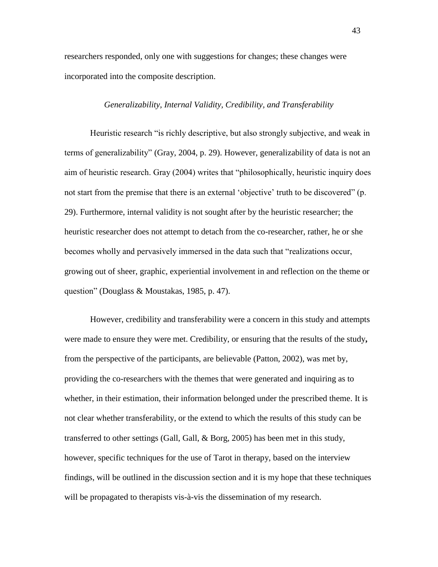researchers responded, only one with suggestions for changes; these changes were incorporated into the composite description.

### *Generalizability, Internal Validity, Credibility, and Transferability*

Heuristic research "is richly descriptive, but also strongly subjective, and weak in terms of generalizability" (Gray, 2004, p. 29). However, generalizability of data is not an aim of heuristic research. Gray (2004) writes that "philosophically, heuristic inquiry does not start from the premise that there is an external 'objective' truth to be discovered" (p. 29). Furthermore, internal validity is not sought after by the heuristic researcher; the heuristic researcher does not attempt to detach from the co-researcher, rather, he or she becomes wholly and pervasively immersed in the data such that "realizations occur, growing out of sheer, graphic, experiential involvement in and reflection on the theme or question" (Douglass & Moustakas, 1985, p. 47).

However, credibility and transferability were a concern in this study and attempts were made to ensure they were met. Credibility, or ensuring that the results of the study**,** from the perspective of the participants, are believable (Patton, 2002), was met by, providing the co-researchers with the themes that were generated and inquiring as to whether, in their estimation, their information belonged under the prescribed theme. It is not clear whether transferability, or the extend to which the results of this study can be transferred to other settings (Gall, Gall, & Borg, 2005) has been met in this study, however, specific techniques for the use of Tarot in therapy, based on the interview findings, will be outlined in the discussion section and it is my hope that these techniques will be propagated to therapists vis-à-vis the dissemination of my research.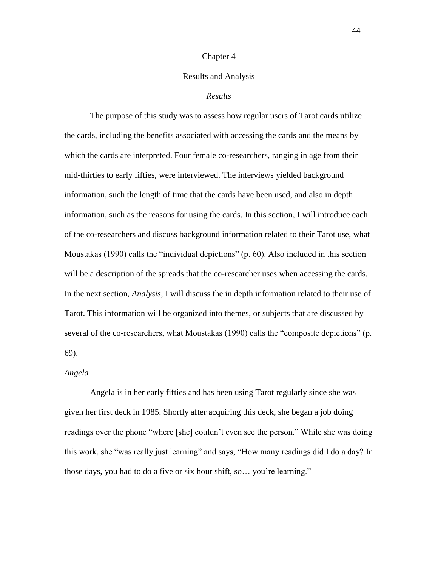#### Chapter 4

### Results and Analysis

# *Results*

The purpose of this study was to assess how regular users of Tarot cards utilize the cards, including the benefits associated with accessing the cards and the means by which the cards are interpreted. Four female co-researchers, ranging in age from their mid-thirties to early fifties, were interviewed. The interviews yielded background information, such the length of time that the cards have been used, and also in depth information, such as the reasons for using the cards. In this section, I will introduce each of the co-researchers and discuss background information related to their Tarot use, what Moustakas (1990) calls the "individual depictions" (p. 60). Also included in this section will be a description of the spreads that the co-researcher uses when accessing the cards. In the next section, *Analysis*, I will discuss the in depth information related to their use of Tarot. This information will be organized into themes, or subjects that are discussed by several of the co-researchers, what Moustakas (1990) calls the "composite depictions" (p. 69).

#### *Angela*

Angela is in her early fifties and has been using Tarot regularly since she was given her first deck in 1985. Shortly after acquiring this deck, she began a job doing readings over the phone "where [she] couldn"t even see the person." While she was doing this work, she "was really just learning" and says, "How many readings did I do a day? In those days, you had to do a five or six hour shift, so… you"re learning."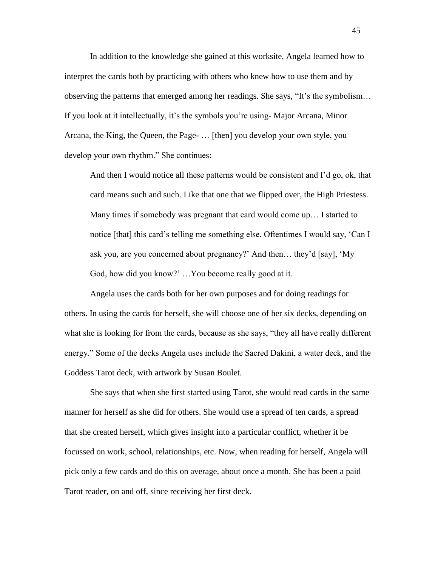In addition to the knowledge she gained at this worksite, Angela learned how to interpret the cards both by practicing with others who knew how to use them and by observing the patterns that emerged among her readings. She says, "It"s the symbolism… If you look at it intellectually, it"s the symbols you"re using- Major Arcana, Minor Arcana, the King, the Queen, the Page- … [then] you develop your own style, you develop your own rhythm." She continues:

And then I would notice all these patterns would be consistent and I"d go, ok, that card means such and such. Like that one that we flipped over, the High Priestess. Many times if somebody was pregnant that card would come up… I started to notice [that] this card"s telling me something else. Oftentimes I would say, "Can I ask you, are you concerned about pregnancy?" And then… they"d [say], "My God, how did you know?" …You become really good at it.

Angela uses the cards both for her own purposes and for doing readings for others. In using the cards for herself, she will choose one of her six decks, depending on what she is looking for from the cards, because as she says, "they all have really different energy." Some of the decks Angela uses include the Sacred Dakini, a water deck, and the Goddess Tarot deck, with artwork by Susan Boulet.

She says that when she first started using Tarot, she would read cards in the same manner for herself as she did for others. She would use a spread of ten cards, a spread that she created herself, which gives insight into a particular conflict, whether it be focussed on work, school, relationships, etc. Now, when reading for herself, Angela will pick only a few cards and do this on average, about once a month. She has been a paid Tarot reader, on and off, since receiving her first deck.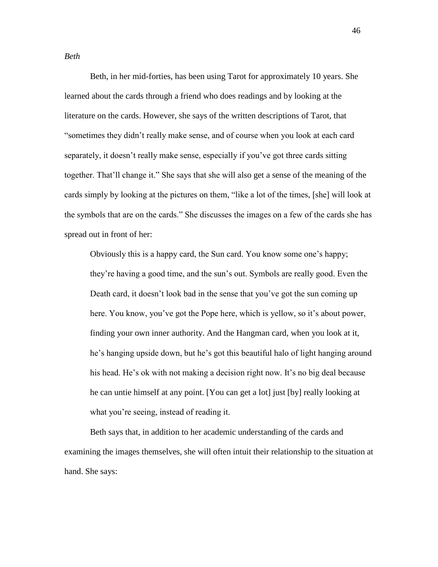Beth, in her mid-forties, has been using Tarot for approximately 10 years. She learned about the cards through a friend who does readings and by looking at the literature on the cards. However, she says of the written descriptions of Tarot, that "sometimes they didn"t really make sense, and of course when you look at each card separately, it doesn"t really make sense, especially if you"ve got three cards sitting together. That"ll change it." She says that she will also get a sense of the meaning of the cards simply by looking at the pictures on them, "like a lot of the times, [she] will look at the symbols that are on the cards." She discusses the images on a few of the cards she has spread out in front of her:

Obviously this is a happy card, the Sun card. You know some one"s happy; they"re having a good time, and the sun"s out. Symbols are really good. Even the Death card, it doesn't look bad in the sense that you've got the sun coming up here. You know, you've got the Pope here, which is yellow, so it's about power, finding your own inner authority. And the Hangman card, when you look at it, he"s hanging upside down, but he"s got this beautiful halo of light hanging around his head. He's ok with not making a decision right now. It's no big deal because he can untie himself at any point. [You can get a lot] just [by] really looking at what you're seeing, instead of reading it.

Beth says that, in addition to her academic understanding of the cards and examining the images themselves, she will often intuit their relationship to the situation at hand. She says:

*Beth*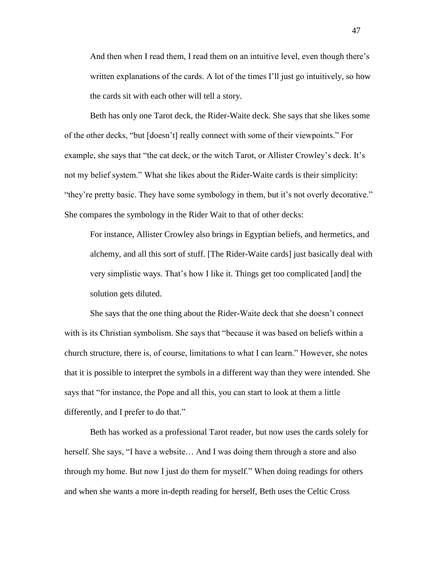And then when I read them, I read them on an intuitive level, even though there"s written explanations of the cards. A lot of the times I'll just go intuitively, so how the cards sit with each other will tell a story.

Beth has only one Tarot deck, the Rider-Waite deck. She says that she likes some of the other decks, "but [doesn"t] really connect with some of their viewpoints." For example, she says that "the cat deck, or the witch Tarot, or Allister Crowley's deck. It's not my belief system." What she likes about the Rider-Waite cards is their simplicity: "they"re pretty basic. They have some symbology in them, but it"s not overly decorative." She compares the symbology in the Rider Wait to that of other decks:

For instance, Allister Crowley also brings in Egyptian beliefs, and hermetics, and alchemy, and all this sort of stuff. [The Rider-Waite cards] just basically deal with very simplistic ways. That"s how I like it. Things get too complicated [and] the solution gets diluted.

She says that the one thing about the Rider-Waite deck that she doesn"t connect with is its Christian symbolism. She says that "because it was based on beliefs within a church structure, there is, of course, limitations to what I can learn." However, she notes that it is possible to interpret the symbols in a different way than they were intended. She says that "for instance, the Pope and all this, you can start to look at them a little differently, and I prefer to do that."

Beth has worked as a professional Tarot reader, but now uses the cards solely for herself. She says, "I have a website… And I was doing them through a store and also through my home. But now I just do them for myself." When doing readings for others and when she wants a more in-depth reading for herself, Beth uses the Celtic Cross

47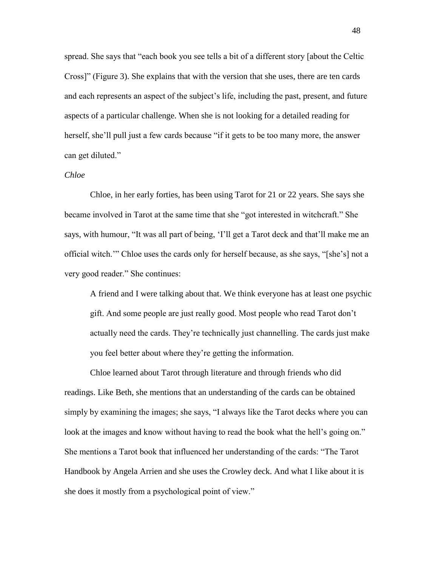spread. She says that "each book you see tells a bit of a different story [about the Celtic Cross]" (Figure 3). She explains that with the version that she uses, there are ten cards and each represents an aspect of the subject"s life, including the past, present, and future aspects of a particular challenge. When she is not looking for a detailed reading for herself, she'll pull just a few cards because "if it gets to be too many more, the answer can get diluted."

### *Chloe*

Chloe, in her early forties, has been using Tarot for 21 or 22 years. She says she became involved in Tarot at the same time that she "got interested in witchcraft." She says, with humour, "It was all part of being, "I"ll get a Tarot deck and that"ll make me an official witch."" Chloe uses the cards only for herself because, as she says, "[she"s] not a very good reader." She continues:

A friend and I were talking about that. We think everyone has at least one psychic gift. And some people are just really good. Most people who read Tarot don"t actually need the cards. They"re technically just channelling. The cards just make you feel better about where they"re getting the information.

Chloe learned about Tarot through literature and through friends who did readings. Like Beth, she mentions that an understanding of the cards can be obtained simply by examining the images; she says, "I always like the Tarot decks where you can look at the images and know without having to read the book what the hell's going on." She mentions a Tarot book that influenced her understanding of the cards: "The Tarot Handbook by Angela Arrien and she uses the Crowley deck. And what I like about it is she does it mostly from a psychological point of view."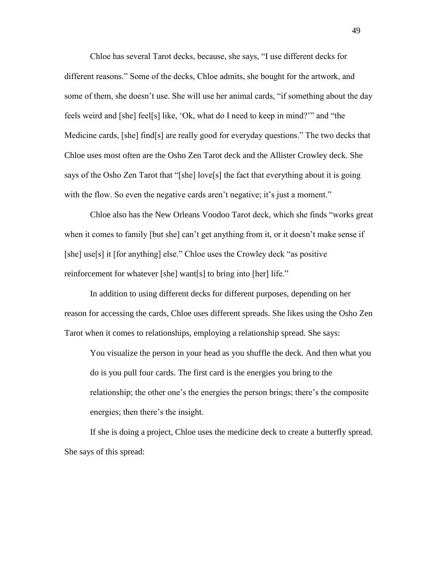Chloe has several Tarot decks, because, she says, "I use different decks for different reasons." Some of the decks, Chloe admits, she bought for the artwork, and some of them, she doesn't use. She will use her animal cards, "if something about the day feels weird and [she] feel[s] like, "Ok, what do I need to keep in mind?"" and "the Medicine cards, [she] find[s] are really good for everyday questions." The two decks that Chloe uses most often are the Osho Zen Tarot deck and the Allister Crowley deck. She says of the Osho Zen Tarot that "[she] love[s] the fact that everything about it is going with the flow. So even the negative cards aren't negative; it's just a moment."

Chloe also has the New Orleans Voodoo Tarot deck, which she finds "works great when it comes to family [but she] can't get anything from it, or it doesn't make sense if [she] use[s] it [for anything] else." Chloe uses the Crowley deck "as positive reinforcement for whatever [she] want[s] to bring into [her] life."

In addition to using different decks for different purposes, depending on her reason for accessing the cards, Chloe uses different spreads. She likes using the Osho Zen Tarot when it comes to relationships, employing a relationship spread. She says:

You visualize the person in your head as you shuffle the deck. And then what you do is you pull four cards. The first card is the energies you bring to the relationship; the other one's the energies the person brings; there's the composite energies; then there's the insight.

If she is doing a project, Chloe uses the medicine deck to create a butterfly spread. She says of this spread: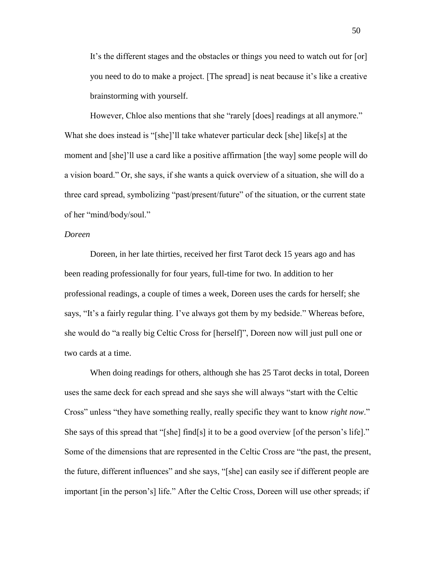It"s the different stages and the obstacles or things you need to watch out for [or] you need to do to make a project. [The spread] is neat because it"s like a creative brainstorming with yourself.

However, Chloe also mentions that she "rarely [does] readings at all anymore." What she does instead is "[she]'ll take whatever particular deck [she] like[s] at the moment and [she]"ll use a card like a positive affirmation [the way] some people will do a vision board." Or, she says, if she wants a quick overview of a situation, she will do a three card spread, symbolizing "past/present/future" of the situation, or the current state of her "mind/body/soul."

## *Doreen*

Doreen, in her late thirties, received her first Tarot deck 15 years ago and has been reading professionally for four years, full-time for two. In addition to her professional readings, a couple of times a week, Doreen uses the cards for herself; she says, "It's a fairly regular thing. I've always got them by my bedside." Whereas before, she would do "a really big Celtic Cross for [herself]", Doreen now will just pull one or two cards at a time.

When doing readings for others, although she has 25 Tarot decks in total, Doreen uses the same deck for each spread and she says she will always "start with the Celtic Cross" unless "they have something really, really specific they want to know *right now*." She says of this spread that "[she] find[s] it to be a good overview [of the person's life]." Some of the dimensions that are represented in the Celtic Cross are "the past, the present, the future, different influences" and she says, "[she] can easily see if different people are important [in the person"s] life." After the Celtic Cross, Doreen will use other spreads; if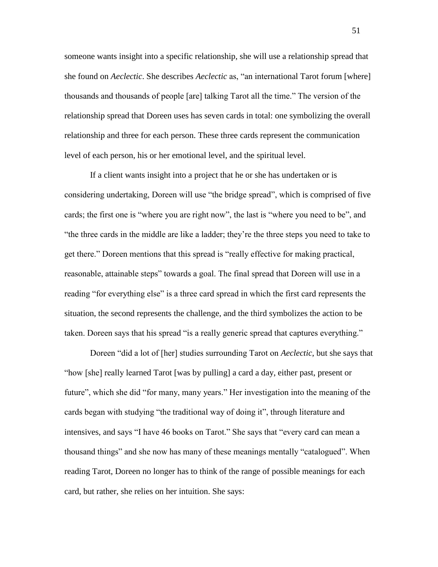someone wants insight into a specific relationship, she will use a relationship spread that she found on *Aeclectic*. She describes *Aeclectic* as, "an international Tarot forum [where] thousands and thousands of people [are] talking Tarot all the time." The version of the relationship spread that Doreen uses has seven cards in total: one symbolizing the overall relationship and three for each person. These three cards represent the communication level of each person, his or her emotional level, and the spiritual level.

If a client wants insight into a project that he or she has undertaken or is considering undertaking, Doreen will use "the bridge spread", which is comprised of five cards; the first one is "where you are right now", the last is "where you need to be", and "the three cards in the middle are like a ladder; they"re the three steps you need to take to get there." Doreen mentions that this spread is "really effective for making practical, reasonable, attainable steps" towards a goal. The final spread that Doreen will use in a reading "for everything else" is a three card spread in which the first card represents the situation, the second represents the challenge, and the third symbolizes the action to be taken. Doreen says that his spread "is a really generic spread that captures everything."

Doreen "did a lot of [her] studies surrounding Tarot on *Aeclectic*, but she says that "how [she] really learned Tarot [was by pulling] a card a day, either past, present or future", which she did "for many, many years." Her investigation into the meaning of the cards began with studying "the traditional way of doing it", through literature and intensives, and says "I have 46 books on Tarot." She says that "every card can mean a thousand things" and she now has many of these meanings mentally "catalogued". When reading Tarot, Doreen no longer has to think of the range of possible meanings for each card, but rather, she relies on her intuition. She says: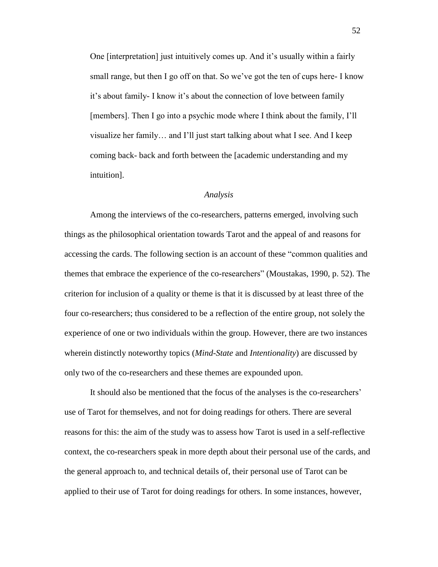One [interpretation] just intuitively comes up. And it"s usually within a fairly small range, but then I go off on that. So we've got the ten of cups here- I know it's about family- I know it's about the connection of love between family [members]. Then I go into a psychic mode where I think about the family, I"ll visualize her family… and I"ll just start talking about what I see. And I keep coming back- back and forth between the [academic understanding and my intuition].

#### *Analysis*

Among the interviews of the co-researchers, patterns emerged, involving such things as the philosophical orientation towards Tarot and the appeal of and reasons for accessing the cards. The following section is an account of these "common qualities and themes that embrace the experience of the co-researchers" (Moustakas, 1990, p. 52). The criterion for inclusion of a quality or theme is that it is discussed by at least three of the four co-researchers; thus considered to be a reflection of the entire group, not solely the experience of one or two individuals within the group. However, there are two instances wherein distinctly noteworthy topics (*Mind-State* and *Intentionality*) are discussed by only two of the co-researchers and these themes are expounded upon.

It should also be mentioned that the focus of the analyses is the co-researchers" use of Tarot for themselves, and not for doing readings for others. There are several reasons for this: the aim of the study was to assess how Tarot is used in a self-reflective context, the co-researchers speak in more depth about their personal use of the cards, and the general approach to, and technical details of, their personal use of Tarot can be applied to their use of Tarot for doing readings for others. In some instances, however,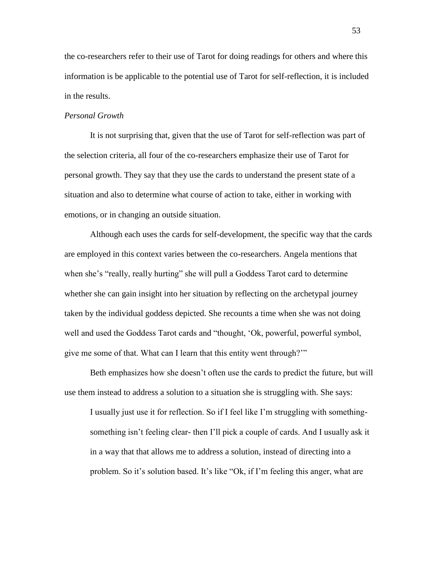the co-researchers refer to their use of Tarot for doing readings for others and where this information is be applicable to the potential use of Tarot for self-reflection, it is included in the results.

# *Personal Growth*

It is not surprising that, given that the use of Tarot for self-reflection was part of the selection criteria, all four of the co-researchers emphasize their use of Tarot for personal growth. They say that they use the cards to understand the present state of a situation and also to determine what course of action to take, either in working with emotions, or in changing an outside situation.

Although each uses the cards for self-development, the specific way that the cards are employed in this context varies between the co-researchers. Angela mentions that when she's "really, really hurting" she will pull a Goddess Tarot card to determine whether she can gain insight into her situation by reflecting on the archetypal journey taken by the individual goddess depicted. She recounts a time when she was not doing well and used the Goddess Tarot cards and "thought, "Ok, powerful, powerful symbol, give me some of that. What can I learn that this entity went through?""

Beth emphasizes how she doesn"t often use the cards to predict the future, but will use them instead to address a solution to a situation she is struggling with. She says:

I usually just use it for reflection. So if I feel like I"m struggling with somethingsomething isn't feeling clear- then I'll pick a couple of cards. And I usually ask it in a way that that allows me to address a solution, instead of directing into a problem. So it"s solution based. It"s like "Ok, if I"m feeling this anger, what are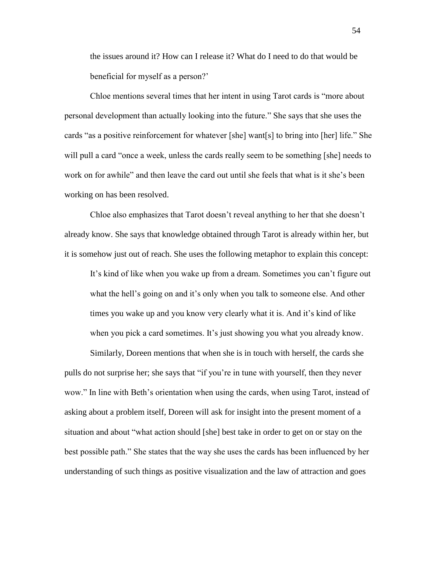the issues around it? How can I release it? What do I need to do that would be beneficial for myself as a person?"

Chloe mentions several times that her intent in using Tarot cards is "more about personal development than actually looking into the future." She says that she uses the cards "as a positive reinforcement for whatever [she] want[s] to bring into [her] life." She will pull a card "once a week, unless the cards really seem to be something [she] needs to work on for awhile" and then leave the card out until she feels that what is it she"s been working on has been resolved.

Chloe also emphasizes that Tarot doesn"t reveal anything to her that she doesn"t already know. She says that knowledge obtained through Tarot is already within her, but it is somehow just out of reach. She uses the following metaphor to explain this concept:

It"s kind of like when you wake up from a dream. Sometimes you can"t figure out what the hell's going on and it's only when you talk to someone else. And other times you wake up and you know very clearly what it is. And it's kind of like when you pick a card sometimes. It's just showing you what you already know.

Similarly, Doreen mentions that when she is in touch with herself, the cards she pulls do not surprise her; she says that "if you"re in tune with yourself, then they never wow." In line with Beth's orientation when using the cards, when using Tarot, instead of asking about a problem itself, Doreen will ask for insight into the present moment of a situation and about "what action should [she] best take in order to get on or stay on the best possible path." She states that the way she uses the cards has been influenced by her understanding of such things as positive visualization and the law of attraction and goes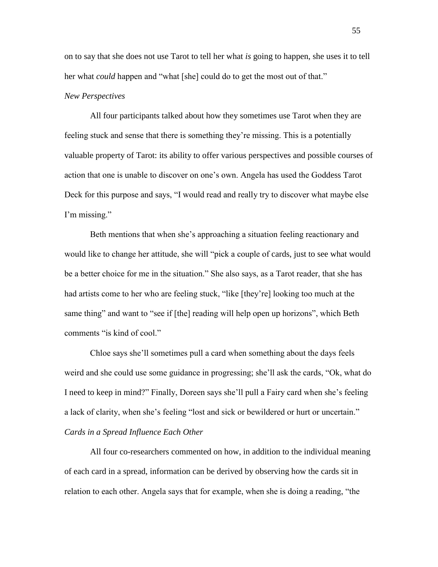on to say that she does not use Tarot to tell her what *is* going to happen, she uses it to tell her what *could* happen and "what [she] could do to get the most out of that."

# *New Perspectives*

All four participants talked about how they sometimes use Tarot when they are feeling stuck and sense that there is something they"re missing. This is a potentially valuable property of Tarot: its ability to offer various perspectives and possible courses of action that one is unable to discover on one"s own. Angela has used the Goddess Tarot Deck for this purpose and says, "I would read and really try to discover what maybe else I'm missing."

Beth mentions that when she"s approaching a situation feeling reactionary and would like to change her attitude, she will "pick a couple of cards, just to see what would be a better choice for me in the situation." She also says, as a Tarot reader, that she has had artists come to her who are feeling stuck, "like [they"re] looking too much at the same thing" and want to "see if [the] reading will help open up horizons", which Beth comments "is kind of cool."

Chloe says she"ll sometimes pull a card when something about the days feels weird and she could use some guidance in progressing; she"ll ask the cards, "Ok, what do I need to keep in mind?" Finally, Doreen says she"ll pull a Fairy card when she"s feeling a lack of clarity, when she's feeling "lost and sick or bewildered or hurt or uncertain." *Cards in a Spread Influence Each Other*

All four co-researchers commented on how, in addition to the individual meaning of each card in a spread, information can be derived by observing how the cards sit in relation to each other. Angela says that for example, when she is doing a reading, "the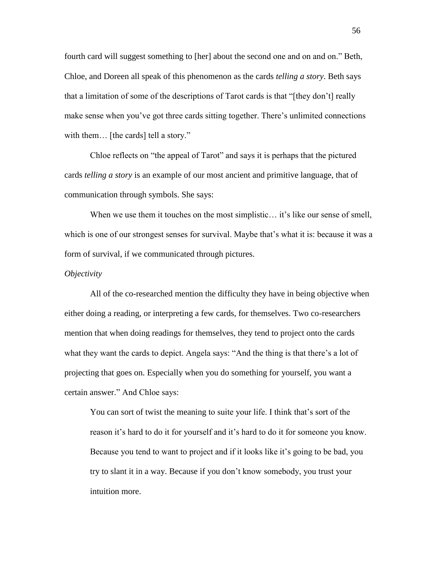fourth card will suggest something to [her] about the second one and on and on." Beth, Chloe, and Doreen all speak of this phenomenon as the cards *telling a story*. Beth says that a limitation of some of the descriptions of Tarot cards is that "[they don"t] really make sense when you"ve got three cards sitting together. There"s unlimited connections with them... [the cards] tell a story."

Chloe reflects on "the appeal of Tarot" and says it is perhaps that the pictured cards *telling a story* is an example of our most ancient and primitive language, that of communication through symbols. She says:

When we use them it touches on the most simplistic... it's like our sense of smell, which is one of our strongest senses for survival. Maybe that's what it is: because it was a form of survival, if we communicated through pictures.

### *Objectivity*

All of the co-researched mention the difficulty they have in being objective when either doing a reading, or interpreting a few cards, for themselves. Two co-researchers mention that when doing readings for themselves, they tend to project onto the cards what they want the cards to depict. Angela says: "And the thing is that there's a lot of projecting that goes on. Especially when you do something for yourself, you want a certain answer." And Chloe says:

You can sort of twist the meaning to suite your life. I think that's sort of the reason it"s hard to do it for yourself and it"s hard to do it for someone you know. Because you tend to want to project and if it looks like it"s going to be bad, you try to slant it in a way. Because if you don"t know somebody, you trust your intuition more.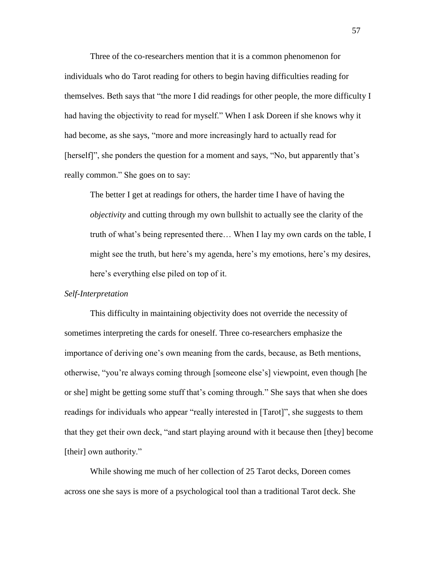Three of the co-researchers mention that it is a common phenomenon for individuals who do Tarot reading for others to begin having difficulties reading for themselves. Beth says that "the more I did readings for other people, the more difficulty I had having the objectivity to read for myself." When I ask Doreen if she knows why it had become, as she says, "more and more increasingly hard to actually read for [herself]", she ponders the question for a moment and says, "No, but apparently that's really common." She goes on to say:

The better I get at readings for others, the harder time I have of having the *objectivity* and cutting through my own bullshit to actually see the clarity of the truth of what"s being represented there… When I lay my own cards on the table, I might see the truth, but here's my agenda, here's my emotions, here's my desires, here"s everything else piled on top of it.

## *Self-Interpretation*

This difficulty in maintaining objectivity does not override the necessity of sometimes interpreting the cards for oneself. Three co-researchers emphasize the importance of deriving one"s own meaning from the cards, because, as Beth mentions, otherwise, "you"re always coming through [someone else"s] viewpoint, even though [he or she] might be getting some stuff that's coming through." She says that when she does readings for individuals who appear "really interested in [Tarot]", she suggests to them that they get their own deck, "and start playing around with it because then [they] become [their] own authority."

While showing me much of her collection of 25 Tarot decks, Doreen comes across one she says is more of a psychological tool than a traditional Tarot deck. She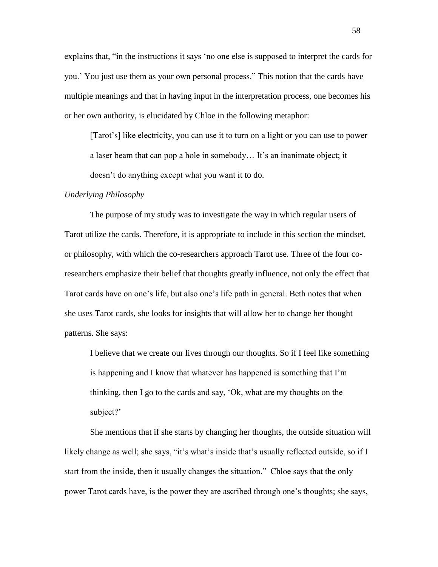explains that, "in the instructions it says "no one else is supposed to interpret the cards for you." You just use them as your own personal process." This notion that the cards have multiple meanings and that in having input in the interpretation process, one becomes his or her own authority, is elucidated by Chloe in the following metaphor:

[Tarot"s] like electricity, you can use it to turn on a light or you can use to power a laser beam that can pop a hole in somebody... It's an inanimate object; it doesn"t do anything except what you want it to do.

#### *Underlying Philosophy*

The purpose of my study was to investigate the way in which regular users of Tarot utilize the cards. Therefore, it is appropriate to include in this section the mindset, or philosophy, with which the co-researchers approach Tarot use. Three of the four coresearchers emphasize their belief that thoughts greatly influence, not only the effect that Tarot cards have on one's life, but also one's life path in general. Beth notes that when she uses Tarot cards, she looks for insights that will allow her to change her thought patterns. She says:

I believe that we create our lives through our thoughts. So if I feel like something is happening and I know that whatever has happened is something that I"m thinking, then I go to the cards and say, "Ok, what are my thoughts on the subject?'

She mentions that if she starts by changing her thoughts, the outside situation will likely change as well; she says, "it's what's inside that's usually reflected outside, so if I start from the inside, then it usually changes the situation." Chloe says that the only power Tarot cards have, is the power they are ascribed through one"s thoughts; she says,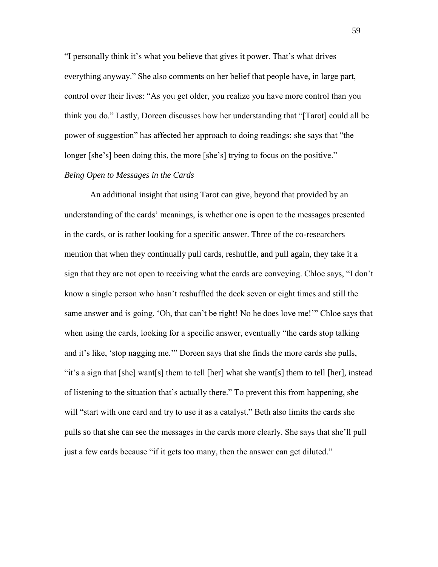"I personally think it"s what you believe that gives it power. That"s what drives everything anyway." She also comments on her belief that people have, in large part, control over their lives: "As you get older, you realize you have more control than you think you do." Lastly, Doreen discusses how her understanding that "[Tarot] could all be power of suggestion" has affected her approach to doing readings; she says that "the longer [she's] been doing this, the more [she's] trying to focus on the positive."

# *Being Open to Messages in the Cards*

An additional insight that using Tarot can give, beyond that provided by an understanding of the cards" meanings, is whether one is open to the messages presented in the cards, or is rather looking for a specific answer. Three of the co-researchers mention that when they continually pull cards, reshuffle, and pull again, they take it a sign that they are not open to receiving what the cards are conveying. Chloe says, "I don"t know a single person who hasn"t reshuffled the deck seven or eight times and still the same answer and is going, 'Oh, that can't be right! No he does love me!'" Chloe says that when using the cards, looking for a specific answer, eventually "the cards stop talking and it"s like, "stop nagging me."" Doreen says that she finds the more cards she pulls, "it's a sign that [she] want[s] them to tell [her] what she want[s] them to tell [her], instead of listening to the situation that"s actually there." To prevent this from happening, she will "start with one card and try to use it as a catalyst." Beth also limits the cards she pulls so that she can see the messages in the cards more clearly. She says that she"ll pull just a few cards because "if it gets too many, then the answer can get diluted."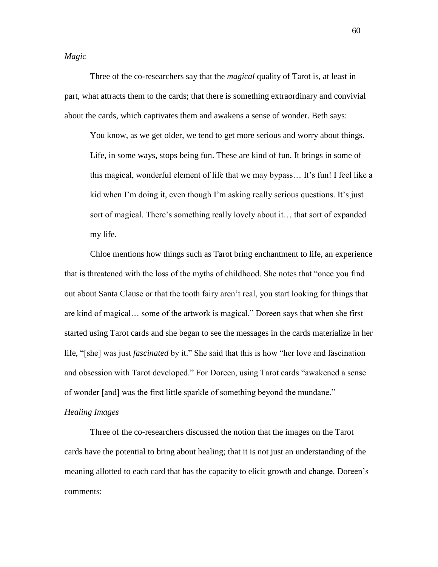*Magic*

Three of the co-researchers say that the *magical* quality of Tarot is, at least in part, what attracts them to the cards; that there is something extraordinary and convivial about the cards, which captivates them and awakens a sense of wonder. Beth says:

You know, as we get older, we tend to get more serious and worry about things. Life, in some ways, stops being fun. These are kind of fun. It brings in some of this magical, wonderful element of life that we may bypass... It's fun! I feel like a kid when I"m doing it, even though I"m asking really serious questions. It"s just sort of magical. There's something really lovely about it... that sort of expanded my life.

Chloe mentions how things such as Tarot bring enchantment to life, an experience that is threatened with the loss of the myths of childhood. She notes that "once you find out about Santa Clause or that the tooth fairy aren"t real, you start looking for things that are kind of magical… some of the artwork is magical." Doreen says that when she first started using Tarot cards and she began to see the messages in the cards materialize in her life, "[she] was just *fascinated* by it." She said that this is how "her love and fascination and obsession with Tarot developed." For Doreen, using Tarot cards "awakened a sense of wonder [and] was the first little sparkle of something beyond the mundane."

#### *Healing Images*

Three of the co-researchers discussed the notion that the images on the Tarot cards have the potential to bring about healing; that it is not just an understanding of the meaning allotted to each card that has the capacity to elicit growth and change. Doreen"s comments:

60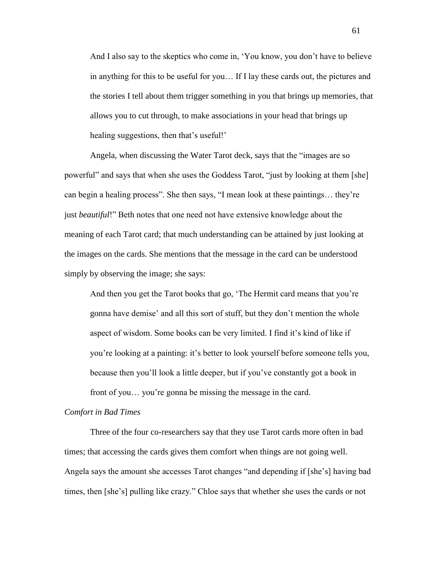And I also say to the skeptics who come in, "You know, you don"t have to believe in anything for this to be useful for you… If I lay these cards out, the pictures and the stories I tell about them trigger something in you that brings up memories, that allows you to cut through, to make associations in your head that brings up healing suggestions, then that's useful!"

Angela, when discussing the Water Tarot deck, says that the "images are so powerful" and says that when she uses the Goddess Tarot, "just by looking at them [she] can begin a healing process". She then says, "I mean look at these paintings… they"re just *beautiful*!" Beth notes that one need not have extensive knowledge about the meaning of each Tarot card; that much understanding can be attained by just looking at the images on the cards. She mentions that the message in the card can be understood simply by observing the image; she says:

And then you get the Tarot books that go, 'The Hermit card means that you're gonna have demise" and all this sort of stuff, but they don"t mention the whole aspect of wisdom. Some books can be very limited. I find it"s kind of like if you"re looking at a painting: it"s better to look yourself before someone tells you, because then you"ll look a little deeper, but if you"ve constantly got a book in front of you… you"re gonna be missing the message in the card.

#### *Comfort in Bad Times*

Three of the four co-researchers say that they use Tarot cards more often in bad times; that accessing the cards gives them comfort when things are not going well. Angela says the amount she accesses Tarot changes "and depending if [she"s] having bad times, then [she"s] pulling like crazy." Chloe says that whether she uses the cards or not

61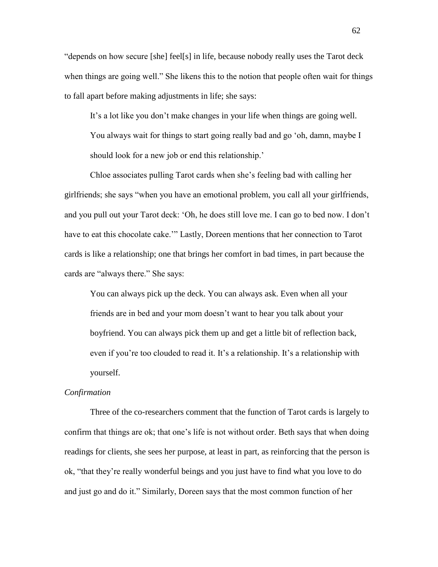"depends on how secure [she] feel[s] in life, because nobody really uses the Tarot deck when things are going well." She likens this to the notion that people often wait for things to fall apart before making adjustments in life; she says:

It's a lot like you don't make changes in your life when things are going well. You always wait for things to start going really bad and go 'oh, damn, maybe I should look for a new job or end this relationship."

Chloe associates pulling Tarot cards when she"s feeling bad with calling her girlfriends; she says "when you have an emotional problem, you call all your girlfriends, and you pull out your Tarot deck: "Oh, he does still love me. I can go to bed now. I don"t have to eat this chocolate cake."" Lastly, Doreen mentions that her connection to Tarot cards is like a relationship; one that brings her comfort in bad times, in part because the cards are "always there." She says:

You can always pick up the deck. You can always ask. Even when all your friends are in bed and your mom doesn"t want to hear you talk about your boyfriend. You can always pick them up and get a little bit of reflection back, even if you"re too clouded to read it. It"s a relationship. It"s a relationship with yourself.

### *Confirmation*

Three of the co-researchers comment that the function of Tarot cards is largely to confirm that things are ok; that one"s life is not without order. Beth says that when doing readings for clients, she sees her purpose, at least in part, as reinforcing that the person is ok, "that they"re really wonderful beings and you just have to find what you love to do and just go and do it." Similarly, Doreen says that the most common function of her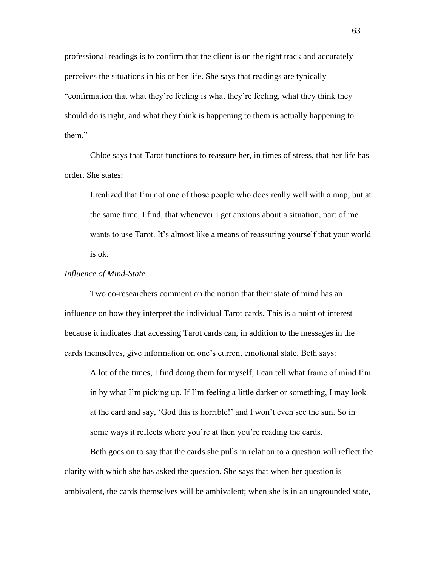professional readings is to confirm that the client is on the right track and accurately perceives the situations in his or her life. She says that readings are typically "confirmation that what they"re feeling is what they"re feeling, what they think they should do is right, and what they think is happening to them is actually happening to them."

Chloe says that Tarot functions to reassure her, in times of stress, that her life has order. She states:

I realized that I"m not one of those people who does really well with a map, but at the same time, I find, that whenever I get anxious about a situation, part of me wants to use Tarot. It's almost like a means of reassuring yourself that your world is ok.

#### *Influence of Mind-State*

Two co-researchers comment on the notion that their state of mind has an influence on how they interpret the individual Tarot cards. This is a point of interest because it indicates that accessing Tarot cards can, in addition to the messages in the cards themselves, give information on one"s current emotional state. Beth says:

A lot of the times, I find doing them for myself, I can tell what frame of mind I"m in by what I"m picking up. If I"m feeling a little darker or something, I may look at the card and say, "God this is horrible!" and I won"t even see the sun. So in some ways it reflects where you're at then you're reading the cards.

Beth goes on to say that the cards she pulls in relation to a question will reflect the clarity with which she has asked the question. She says that when her question is ambivalent, the cards themselves will be ambivalent; when she is in an ungrounded state,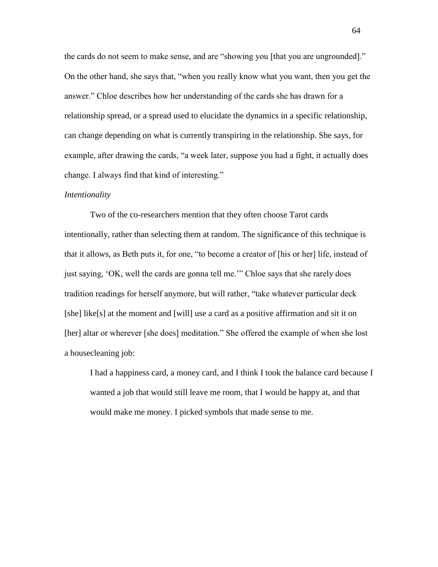the cards do not seem to make sense, and are "showing you [that you are ungrounded]." On the other hand, she says that, "when you really know what you want, then you get the answer." Chloe describes how her understanding of the cards she has drawn for a relationship spread, or a spread used to elucidate the dynamics in a specific relationship, can change depending on what is currently transpiring in the relationship. She says, for example, after drawing the cards, "a week later, suppose you had a fight, it actually does change. I always find that kind of interesting."

#### *Intentionality*

Two of the co-researchers mention that they often choose Tarot cards intentionally, rather than selecting them at random. The significance of this technique is that it allows, as Beth puts it, for one, "to become a creator of [his or her] life, instead of just saying, "OK, well the cards are gonna tell me."" Chloe says that she rarely does tradition readings for herself anymore, but will rather, "take whatever particular deck [she] like[s] at the moment and [will] use a card as a positive affirmation and sit it on [her] altar or wherever [she does] meditation." She offered the example of when she lost a housecleaning job:

I had a happiness card, a money card, and I think I took the balance card because I wanted a job that would still leave me room, that I would be happy at, and that would make me money. I picked symbols that made sense to me.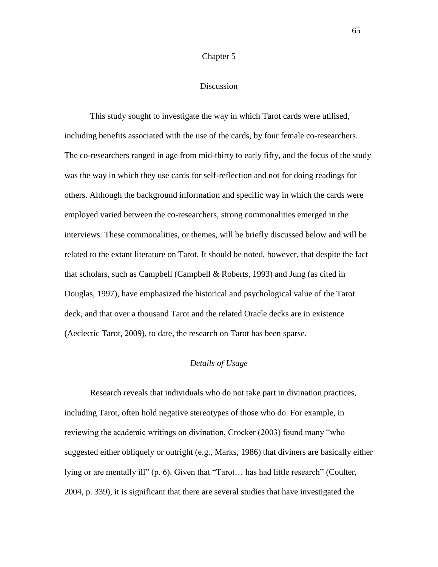#### Chapter 5

#### Discussion

This study sought to investigate the way in which Tarot cards were utilised, including benefits associated with the use of the cards, by four female co-researchers. The co-researchers ranged in age from mid-thirty to early fifty, and the focus of the study was the way in which they use cards for self-reflection and not for doing readings for others. Although the background information and specific way in which the cards were employed varied between the co-researchers, strong commonalities emerged in the interviews. These commonalities, or themes, will be briefly discussed below and will be related to the extant literature on Tarot. It should be noted, however, that despite the fact that scholars, such as Campbell (Campbell & Roberts, 1993) and Jung (as cited in Douglas, 1997), have emphasized the historical and psychological value of the Tarot deck, and that over a thousand Tarot and the related Oracle decks are in existence (Aeclectic Tarot, 2009), to date, the research on Tarot has been sparse.

#### *Details of Usage*

Research reveals that individuals who do not take part in divination practices, including Tarot, often hold negative stereotypes of those who do. For example, in reviewing the academic writings on divination, Crocker (2003) found many "who suggested either obliquely or outright (e.g., Marks, 1986) that diviners are basically either lying or are mentally ill" (p. 6). Given that "Tarot… has had little research" (Coulter, 2004, p. 339), it is significant that there are several studies that have investigated the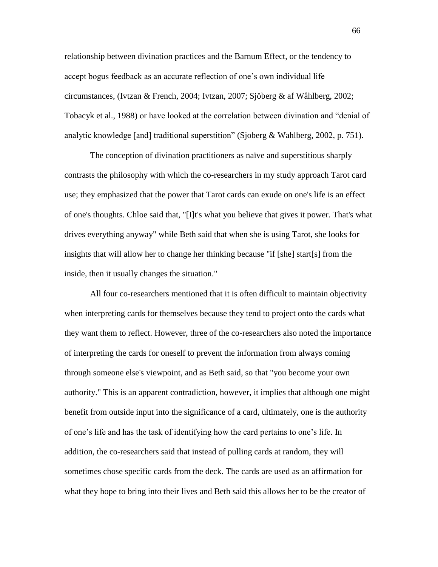relationship between divination practices and the Barnum Effect, or the tendency to accept bogus feedback as an accurate reflection of one"s own individual life circumstances, (Ivtzan & French, 2004; Ivtzan, 2007; Sjöberg & af Wåhlberg, 2002; Tobacyk et al., 1988) or have looked at the correlation between divination and "denial of analytic knowledge [and] traditional superstition" (Sjoberg & Wahlberg, 2002, p. 751).

The conception of divination practitioners as naïve and superstitious sharply contrasts the philosophy with which the co-researchers in my study approach Tarot card use; they emphasized that the power that Tarot cards can exude on one's life is an effect of one's thoughts. Chloe said that, "[I]t's what you believe that gives it power. That's what drives everything anyway" while Beth said that when she is using Tarot, she looks for insights that will allow her to change her thinking because "if [she] start[s] from the inside, then it usually changes the situation."

All four co-researchers mentioned that it is often difficult to maintain objectivity when interpreting cards for themselves because they tend to project onto the cards what they want them to reflect. However, three of the co-researchers also noted the importance of interpreting the cards for oneself to prevent the information from always coming through someone else's viewpoint, and as Beth said, so that "you become your own authority." This is an apparent contradiction, however, it implies that although one might benefit from outside input into the significance of a card, ultimately, one is the authority of one"s life and has the task of identifying how the card pertains to one"s life. In addition, the co-researchers said that instead of pulling cards at random, they will sometimes chose specific cards from the deck. The cards are used as an affirmation for what they hope to bring into their lives and Beth said this allows her to be the creator of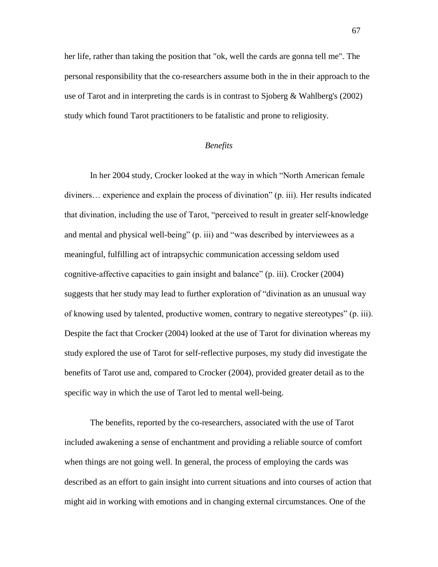her life, rather than taking the position that "ok, well the cards are gonna tell me". The personal responsibility that the co-researchers assume both in the in their approach to the use of Tarot and in interpreting the cards is in contrast to Sjoberg & Wahlberg's (2002) study which found Tarot practitioners to be fatalistic and prone to religiosity.

### *Benefits*

In her 2004 study, Crocker looked at the way in which "North American female diviners… experience and explain the process of divination" (p. iii). Her results indicated that divination, including the use of Tarot, "perceived to result in greater self-knowledge and mental and physical well-being" (p. iii) and "was described by interviewees as a meaningful, fulfilling act of intrapsychic communication accessing seldom used cognitive-affective capacities to gain insight and balance" (p. iii). Crocker (2004) suggests that her study may lead to further exploration of "divination as an unusual way of knowing used by talented, productive women, contrary to negative stereotypes" (p. iii). Despite the fact that Crocker (2004) looked at the use of Tarot for divination whereas my study explored the use of Tarot for self-reflective purposes, my study did investigate the benefits of Tarot use and, compared to Crocker (2004), provided greater detail as to the specific way in which the use of Tarot led to mental well-being.

The benefits, reported by the co-researchers, associated with the use of Tarot included awakening a sense of enchantment and providing a reliable source of comfort when things are not going well. In general, the process of employing the cards was described as an effort to gain insight into current situations and into courses of action that might aid in working with emotions and in changing external circumstances. One of the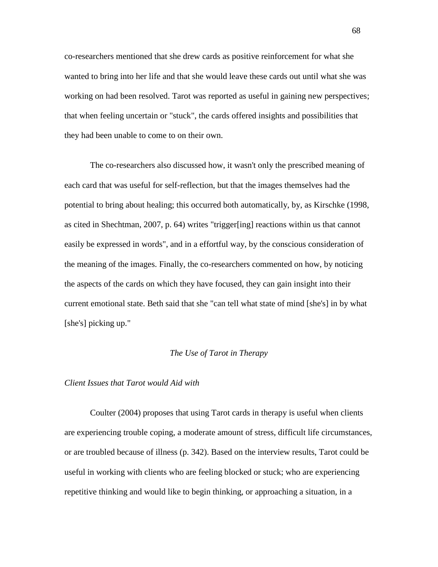co-researchers mentioned that she drew cards as positive reinforcement for what she wanted to bring into her life and that she would leave these cards out until what she was working on had been resolved. Tarot was reported as useful in gaining new perspectives; that when feeling uncertain or "stuck", the cards offered insights and possibilities that they had been unable to come to on their own.

The co-researchers also discussed how, it wasn't only the prescribed meaning of each card that was useful for self-reflection, but that the images themselves had the potential to bring about healing; this occurred both automatically, by, as Kirschke (1998, as cited in Shechtman, 2007, p. 64) writes "trigger[ing] reactions within us that cannot easily be expressed in words", and in a effortful way, by the conscious consideration of the meaning of the images. Finally, the co-researchers commented on how, by noticing the aspects of the cards on which they have focused, they can gain insight into their current emotional state. Beth said that she "can tell what state of mind [she's] in by what [she's] picking up."

#### *The Use of Tarot in Therapy*

### *Client Issues that Tarot would Aid with*

Coulter (2004) proposes that using Tarot cards in therapy is useful when clients are experiencing trouble coping, a moderate amount of stress, difficult life circumstances, or are troubled because of illness (p. 342). Based on the interview results, Tarot could be useful in working with clients who are feeling blocked or stuck; who are experiencing repetitive thinking and would like to begin thinking, or approaching a situation, in a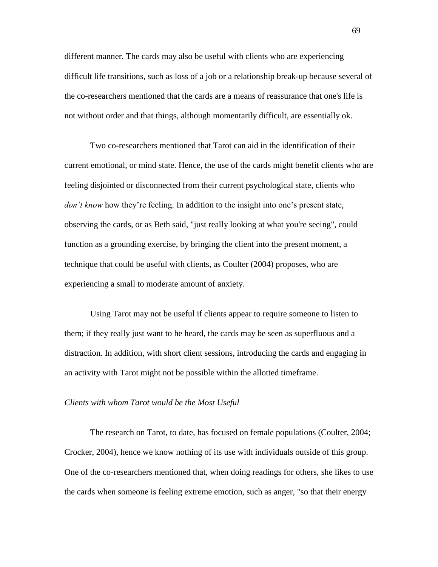different manner. The cards may also be useful with clients who are experiencing difficult life transitions, such as loss of a job or a relationship break-up because several of the co-researchers mentioned that the cards are a means of reassurance that one's life is not without order and that things, although momentarily difficult, are essentially ok.

Two co-researchers mentioned that Tarot can aid in the identification of their current emotional, or mind state. Hence, the use of the cards might benefit clients who are feeling disjointed or disconnected from their current psychological state, clients who *don't know* how they're feeling. In addition to the insight into one's present state, observing the cards, or as Beth said, "just really looking at what you're seeing", could function as a grounding exercise, by bringing the client into the present moment, a technique that could be useful with clients, as Coulter (2004) proposes, who are experiencing a small to moderate amount of anxiety.

Using Tarot may not be useful if clients appear to require someone to listen to them; if they really just want to he heard, the cards may be seen as superfluous and a distraction. In addition, with short client sessions, introducing the cards and engaging in an activity with Tarot might not be possible within the allotted timeframe.

#### *Clients with whom Tarot would be the Most Useful*

The research on Tarot, to date, has focused on female populations (Coulter, 2004; Crocker, 2004), hence we know nothing of its use with individuals outside of this group. One of the co-researchers mentioned that, when doing readings for others, she likes to use the cards when someone is feeling extreme emotion, such as anger, "so that their energy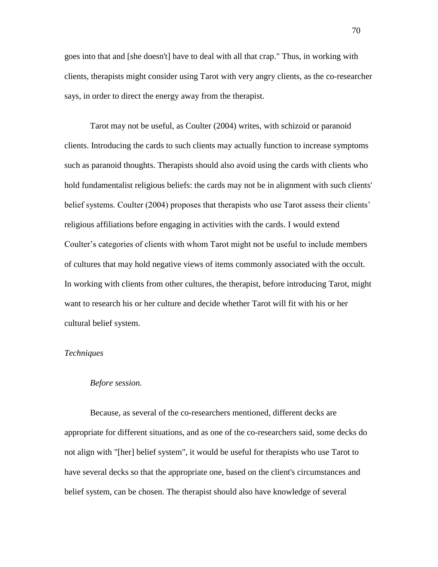goes into that and [she doesn't] have to deal with all that crap." Thus, in working with clients, therapists might consider using Tarot with very angry clients, as the co-researcher says, in order to direct the energy away from the therapist.

Tarot may not be useful, as Coulter (2004) writes, with schizoid or paranoid clients. Introducing the cards to such clients may actually function to increase symptoms such as paranoid thoughts. Therapists should also avoid using the cards with clients who hold fundamentalist religious beliefs: the cards may not be in alignment with such clients' belief systems. Coulter (2004) proposes that therapists who use Tarot assess their clients' religious affiliations before engaging in activities with the cards. I would extend Coulter's categories of clients with whom Tarot might not be useful to include members of cultures that may hold negative views of items commonly associated with the occult. In working with clients from other cultures, the therapist, before introducing Tarot, might want to research his or her culture and decide whether Tarot will fit with his or her cultural belief system.

#### *Techniques*

#### *Before session.*

Because, as several of the co-researchers mentioned, different decks are appropriate for different situations, and as one of the co-researchers said, some decks do not align with "[her] belief system", it would be useful for therapists who use Tarot to have several decks so that the appropriate one, based on the client's circumstances and belief system, can be chosen. The therapist should also have knowledge of several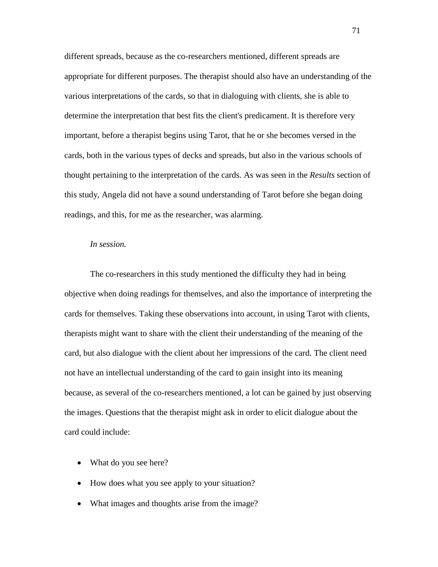different spreads, because as the co-researchers mentioned, different spreads are appropriate for different purposes. The therapist should also have an understanding of the various interpretations of the cards, so that in dialoguing with clients, she is able to determine the interpretation that best fits the client's predicament. It is therefore very important, before a therapist begins using Tarot, that he or she becomes versed in the cards, both in the various types of decks and spreads, but also in the various schools of thought pertaining to the interpretation of the cards. As was seen in the *Results* section of this study, Angela did not have a sound understanding of Tarot before she began doing readings, and this, for me as the researcher, was alarming.

#### *In session.*

The co-researchers in this study mentioned the difficulty they had in being objective when doing readings for themselves, and also the importance of interpreting the cards for themselves. Taking these observations into account, in using Tarot with clients, therapists might want to share with the client their understanding of the meaning of the card, but also dialogue with the client about her impressions of the card. The client need not have an intellectual understanding of the card to gain insight into its meaning because, as several of the co-researchers mentioned, a lot can be gained by just observing the images. Questions that the therapist might ask in order to elicit dialogue about the card could include:

- What do you see here?
- How does what you see apply to your situation?
- What images and thoughts arise from the image?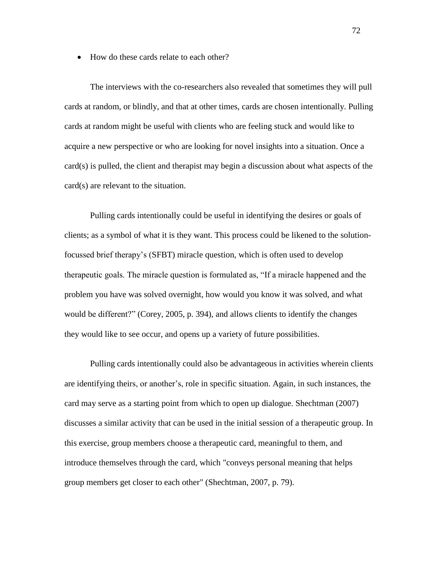• How do these cards relate to each other?

The interviews with the co-researchers also revealed that sometimes they will pull cards at random, or blindly, and that at other times, cards are chosen intentionally. Pulling cards at random might be useful with clients who are feeling stuck and would like to acquire a new perspective or who are looking for novel insights into a situation. Once a card(s) is pulled, the client and therapist may begin a discussion about what aspects of the card(s) are relevant to the situation.

Pulling cards intentionally could be useful in identifying the desires or goals of clients; as a symbol of what it is they want. This process could be likened to the solutionfocussed brief therapy"s (SFBT) miracle question, which is often used to develop therapeutic goals. The miracle question is formulated as, "If a miracle happened and the problem you have was solved overnight, how would you know it was solved, and what would be different?" (Corey, 2005, p. 394), and allows clients to identify the changes they would like to see occur, and opens up a variety of future possibilities.

Pulling cards intentionally could also be advantageous in activities wherein clients are identifying theirs, or another"s, role in specific situation. Again, in such instances, the card may serve as a starting point from which to open up dialogue. Shechtman (2007) discusses a similar activity that can be used in the initial session of a therapeutic group. In this exercise, group members choose a therapeutic card, meaningful to them, and introduce themselves through the card, which "conveys personal meaning that helps group members get closer to each other" (Shechtman, 2007, p. 79).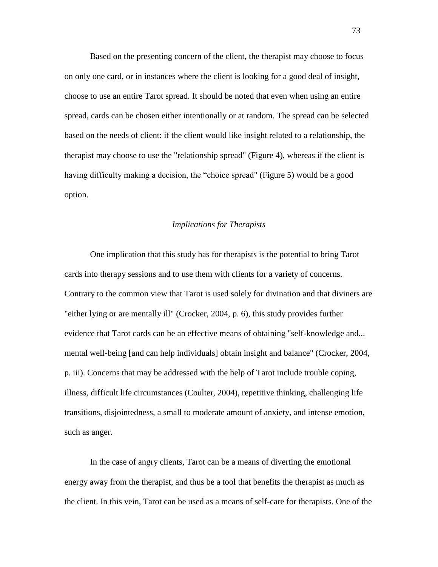Based on the presenting concern of the client, the therapist may choose to focus on only one card, or in instances where the client is looking for a good deal of insight, choose to use an entire Tarot spread. It should be noted that even when using an entire spread, cards can be chosen either intentionally or at random. The spread can be selected based on the needs of client: if the client would like insight related to a relationship, the therapist may choose to use the "relationship spread" (Figure 4), whereas if the client is having difficulty making a decision, the "choice spread" (Figure 5) would be a good option.

### *Implications for Therapists*

One implication that this study has for therapists is the potential to bring Tarot cards into therapy sessions and to use them with clients for a variety of concerns. Contrary to the common view that Tarot is used solely for divination and that diviners are "either lying or are mentally ill" (Crocker, 2004, p. 6), this study provides further evidence that Tarot cards can be an effective means of obtaining "self-knowledge and... mental well-being [and can help individuals] obtain insight and balance" (Crocker, 2004, p. iii). Concerns that may be addressed with the help of Tarot include trouble coping, illness, difficult life circumstances (Coulter, 2004), repetitive thinking, challenging life transitions, disjointedness, a small to moderate amount of anxiety, and intense emotion, such as anger.

In the case of angry clients, Tarot can be a means of diverting the emotional energy away from the therapist, and thus be a tool that benefits the therapist as much as the client. In this vein, Tarot can be used as a means of self-care for therapists. One of the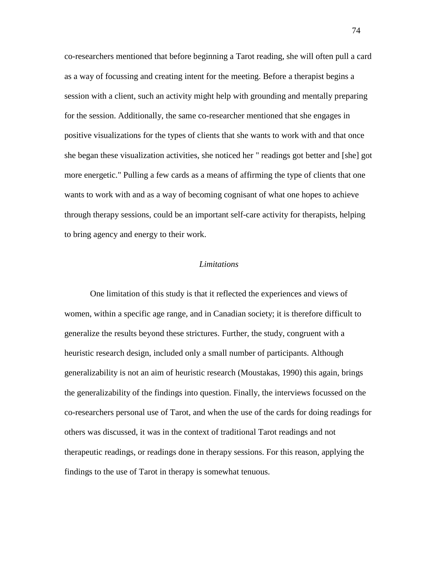co-researchers mentioned that before beginning a Tarot reading, she will often pull a card as a way of focussing and creating intent for the meeting. Before a therapist begins a session with a client, such an activity might help with grounding and mentally preparing for the session. Additionally, the same co-researcher mentioned that she engages in positive visualizations for the types of clients that she wants to work with and that once she began these visualization activities, she noticed her " readings got better and [she] got more energetic." Pulling a few cards as a means of affirming the type of clients that one wants to work with and as a way of becoming cognisant of what one hopes to achieve through therapy sessions, could be an important self-care activity for therapists, helping to bring agency and energy to their work.

#### *Limitations*

One limitation of this study is that it reflected the experiences and views of women, within a specific age range, and in Canadian society; it is therefore difficult to generalize the results beyond these strictures. Further, the study, congruent with a heuristic research design, included only a small number of participants. Although generalizability is not an aim of heuristic research (Moustakas, 1990) this again, brings the generalizability of the findings into question. Finally, the interviews focussed on the co-researchers personal use of Tarot, and when the use of the cards for doing readings for others was discussed, it was in the context of traditional Tarot readings and not therapeutic readings, or readings done in therapy sessions. For this reason, applying the findings to the use of Tarot in therapy is somewhat tenuous.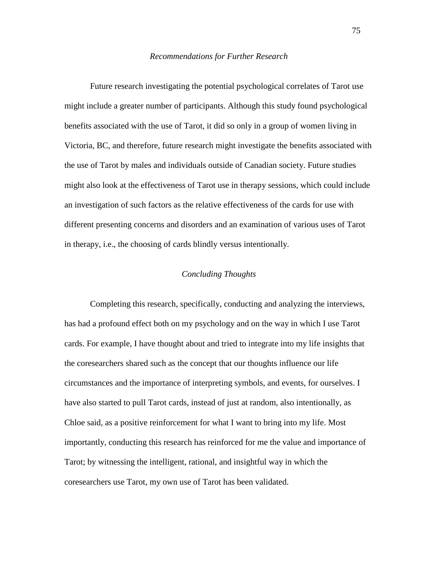#### *Recommendations for Further Research*

Future research investigating the potential psychological correlates of Tarot use might include a greater number of participants. Although this study found psychological benefits associated with the use of Tarot, it did so only in a group of women living in Victoria, BC, and therefore, future research might investigate the benefits associated with the use of Tarot by males and individuals outside of Canadian society. Future studies might also look at the effectiveness of Tarot use in therapy sessions, which could include an investigation of such factors as the relative effectiveness of the cards for use with different presenting concerns and disorders and an examination of various uses of Tarot in therapy, i.e., the choosing of cards blindly versus intentionally.

### *Concluding Thoughts*

Completing this research, specifically, conducting and analyzing the interviews, has had a profound effect both on my psychology and on the way in which I use Tarot cards. For example, I have thought about and tried to integrate into my life insights that the coresearchers shared such as the concept that our thoughts influence our life circumstances and the importance of interpreting symbols, and events, for ourselves. I have also started to pull Tarot cards, instead of just at random, also intentionally, as Chloe said, as a positive reinforcement for what I want to bring into my life. Most importantly, conducting this research has reinforced for me the value and importance of Tarot; by witnessing the intelligent, rational, and insightful way in which the coresearchers use Tarot, my own use of Tarot has been validated.

75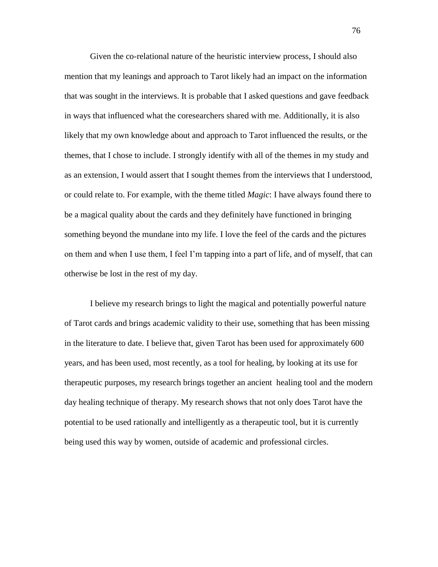Given the co-relational nature of the heuristic interview process, I should also mention that my leanings and approach to Tarot likely had an impact on the information that was sought in the interviews. It is probable that I asked questions and gave feedback in ways that influenced what the coresearchers shared with me. Additionally, it is also likely that my own knowledge about and approach to Tarot influenced the results, or the themes, that I chose to include. I strongly identify with all of the themes in my study and as an extension, I would assert that I sought themes from the interviews that I understood, or could relate to. For example, with the theme titled *Magic*: I have always found there to be a magical quality about the cards and they definitely have functioned in bringing something beyond the mundane into my life. I love the feel of the cards and the pictures on them and when I use them, I feel I"m tapping into a part of life, and of myself, that can otherwise be lost in the rest of my day.

I believe my research brings to light the magical and potentially powerful nature of Tarot cards and brings academic validity to their use, something that has been missing in the literature to date. I believe that, given Tarot has been used for approximately 600 years, and has been used, most recently, as a tool for healing, by looking at its use for therapeutic purposes, my research brings together an ancient healing tool and the modern day healing technique of therapy. My research shows that not only does Tarot have the potential to be used rationally and intelligently as a therapeutic tool, but it is currently being used this way by women, outside of academic and professional circles.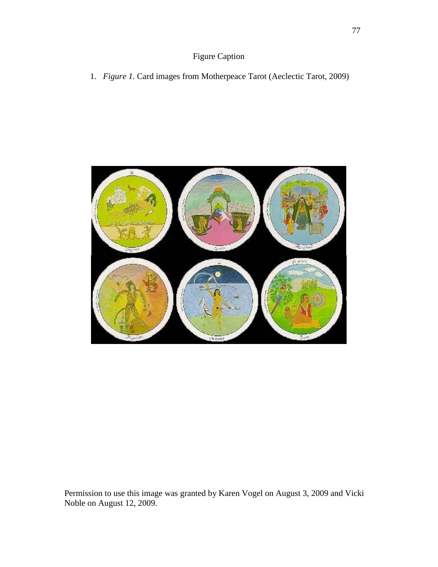1. *Figure 1.* Card images from Motherpeace Tarot (Aeclectic Tarot, 2009)



Permission to use this image was granted by Karen Vogel on August 3, 2009 and Vicki Noble on August 12, 2009.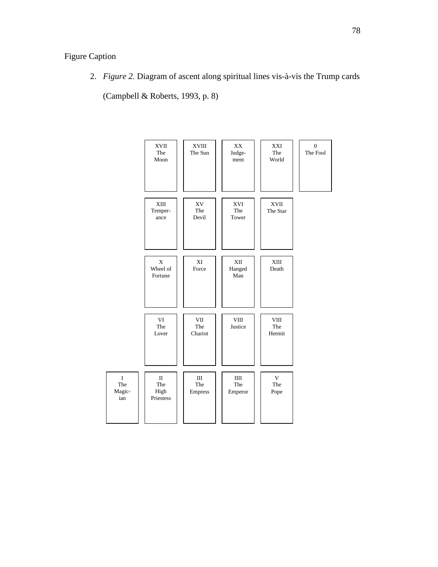2. *Figure 2.* Diagram of ascent along spiritual lines vis-à-vis the Trump cards

(Campbell & Roberts, 1993, p. 8)

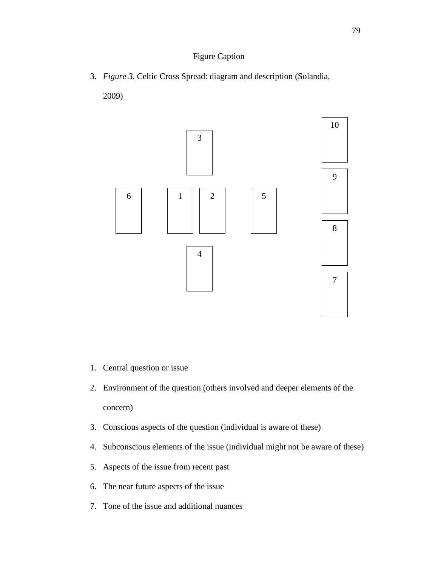3. *Figure 3.* Celtic Cross Spread: diagram and description (Solandia,

2009)



- 1. Central question or issue
- 2. Environment of the question (others involved and deeper elements of the concern)
- 3. Conscious aspects of the question (individual is aware of these)
- 4. Subconscious elements of the issue (individual might not be aware of these)
- 5. Aspects of the issue from recent past
- 6. The near future aspects of the issue
- 7. Tone of the issue and additional nuances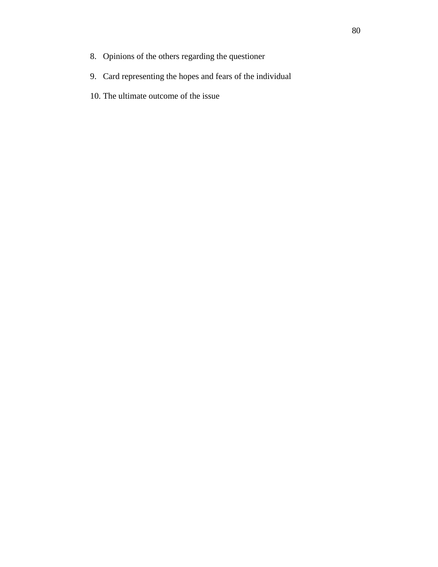- 8. Opinions of the others regarding the questioner
- 9. Card representing the hopes and fears of the individual
- 10. The ultimate outcome of the issue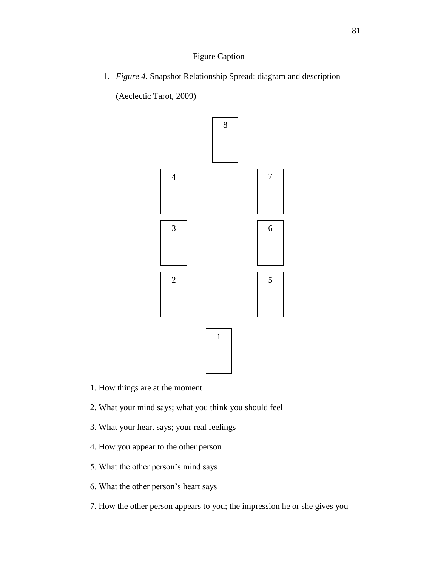1. *Figure 4.* Snapshot Relationship Spread: diagram and description

(Aeclectic Tarot, 2009)



- 1. How things are at the moment
- 2. What your mind says; what you think you should feel
- 3. What your heart says; your real feelings
- 4. How you appear to the other person
- 5. What the other person"s mind says
- 6. What the other person"s heart says
- 7. How the other person appears to you; the impression he or she gives you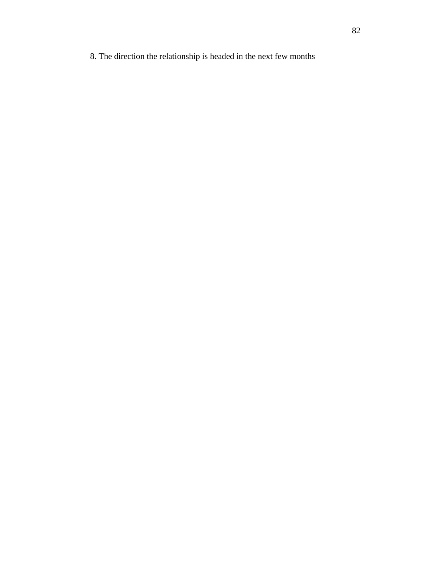8. The direction the relationship is headed in the next few months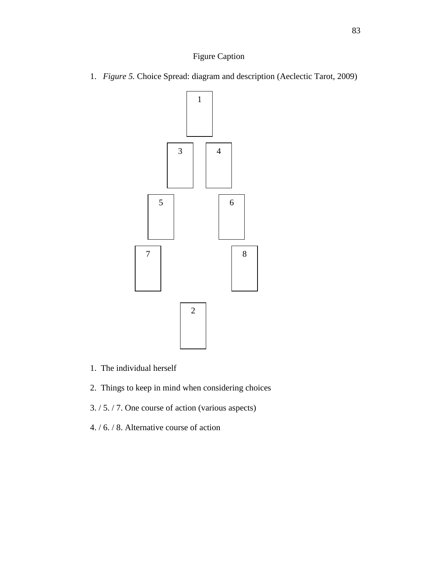1. *Figure 5.* Choice Spread: diagram and description (Aeclectic Tarot, 2009)



- 1. The individual herself
- 2. Things to keep in mind when considering choices
- 3. / 5. / 7. One course of action (various aspects)
- 4. / 6. / 8. Alternative course of action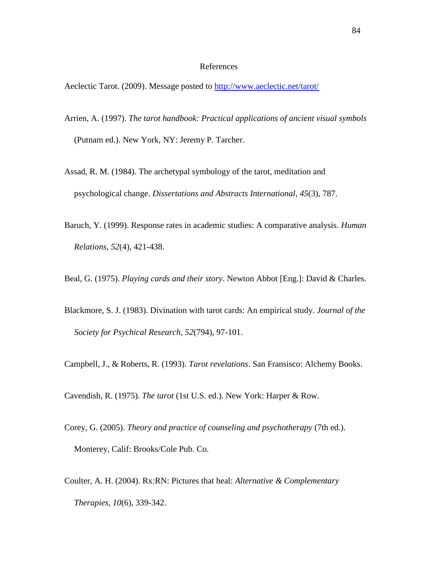#### References

Aeclectic Tarot. (2009). Message posted to<http://www.aeclectic.net/tarot/>

- Arrien, A. (1997). *The tarot handbook: Practical applications of ancient visual symbols* (Putnam ed.). New York, NY: Jeremy P. Tarcher.
- Assad, R. M. (1984). The archetypal symbology of the tarot, meditation and psychological change. *Dissertations and Abstracts International, 45*(3), 787.
- Baruch, Y. (1999). Response rates in academic studies: A comparative analysis. *Human Relations, 52*(4), 421-438.

Beal, G. (1975). *Playing cards and their story*. Newton Abbot [Eng.]: David & Charles.

- Blackmore, S. J. (1983). Divination with tarot cards: An empirical study. *Journal of the Society for Psychical Research, 52*(794), 97-101.
- Campbell, J., & Roberts, R. (1993). *Tarot revelations*. San Fransisco: Alchemy Books.

Cavendish, R. (1975). *The tarot* (1st U.S. ed.). New York: Harper & Row.

- Corey, G. (2005). *Theory and practice of counseling and psychotherapy* (7th ed.). Monterey, Calif: Brooks/Cole Pub. Co.
- Coulter, A. H. (2004). Rx:RN: Pictures that heal: *Alternative & Complementary Therapies, 10*(6), 339-342.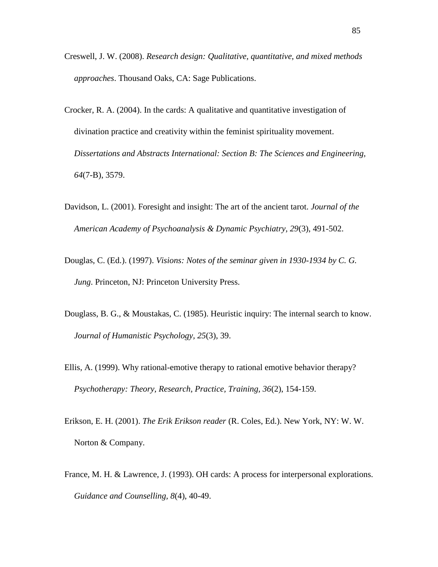- Creswell, J. W. (2008). *Research design: Qualitative, quantitative, and mixed methods approaches*. Thousand Oaks, CA: Sage Publications.
- Crocker, R. A. (2004). In the cards: A qualitative and quantitative investigation of divination practice and creativity within the feminist spirituality movement. *Dissertations and Abstracts International: Section B: The Sciences and Engineering, 64*(7-B), 3579.
- Davidson, L. (2001). Foresight and insight: The art of the ancient tarot. *Journal of the American Academy of Psychoanalysis & Dynamic Psychiatry, 29*(3), 491-502.
- Douglas, C. (Ed.). (1997). *Visions: Notes of the seminar given in 1930-1934 by C. G. Jung*. Princeton, NJ: Princeton University Press.
- Douglass, B. G., & Moustakas, C. (1985). Heuristic inquiry: The internal search to know. *Journal of Humanistic Psychology, 25*(3), 39.
- Ellis, A. (1999). Why rational-emotive therapy to rational emotive behavior therapy? *Psychotherapy: Theory, Research, Practice, Training, 36*(2), 154-159.
- Erikson, E. H. (2001). *The Erik Erikson reader* (R. Coles, Ed.). New York, NY: W. W. Norton & Company.
- France, M. H. & Lawrence, J. (1993). OH cards: A process for interpersonal explorations. *Guidance and Counselling, 8*(4), 40-49.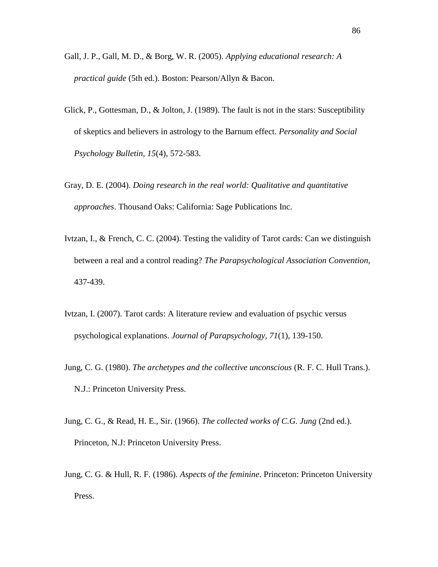- Gall, J. P., Gall, M. D., & Borg, W. R. (2005). *Applying educational research: A practical guide* (5th ed.). Boston: Pearson/Allyn & Bacon.
- Glick, P., Gottesman, D., & Jolton, J. (1989). The fault is not in the stars: Susceptibility of skeptics and believers in astrology to the Barnum effect. *Personality and Social Psychology Bulletin, 15*(4), 572-583.
- Gray, D. E. (2004). *Doing research in the real world: Qualitative and quantitative approaches*. Thousand Oaks: California: Sage Publications Inc.
- Ivtzan, I., & French, C. C. (2004). Testing the validity of Tarot cards: Can we distinguish between a real and a control reading? *The Parapsychological Association Convention,*  437-439.
- Ivtzan, I. (2007). Tarot cards: A literature review and evaluation of psychic versus psychological explanations. *Journal of Parapsychology, 71*(1), 139-150.
- Jung, C. G. (1980). *The archetypes and the collective unconscious* (R. F. C. Hull Trans.). N.J.: Princeton University Press.
- Jung, C. G., & Read, H. E., Sir. (1966). *The collected works of C.G. Jung* (2nd ed.). Princeton, N.J: Princeton University Press.
- Jung, C. G. & Hull, R. F. (1986). *Aspects of the feminine*. Princeton: Princeton University Press.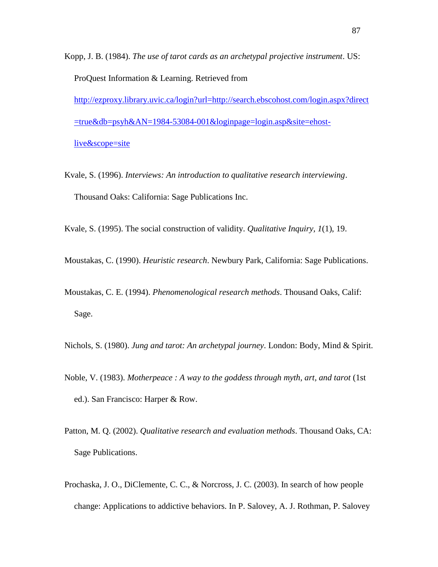Kopp, J. B. (1984). *The use of tarot cards as an archetypal projective instrument*. US: ProQuest Information & Learning. Retrieved from [http://ezproxy.library.uvic.ca/login?url=http://search.ebscohost.com/login.aspx?direct](http://ezproxy.library.uvic.ca/login?url=http://search.ebscohost.com/login.aspx?direct=true&db=psyh&AN=1984-53084-001&loginpage=login.asp&site=ehost-live&scope=site) [=true&db=psyh&AN=1984-53084-001&loginpage=login.asp&site=ehost](http://ezproxy.library.uvic.ca/login?url=http://search.ebscohost.com/login.aspx?direct=true&db=psyh&AN=1984-53084-001&loginpage=login.asp&site=ehost-live&scope=site)[live&scope=site](http://ezproxy.library.uvic.ca/login?url=http://search.ebscohost.com/login.aspx?direct=true&db=psyh&AN=1984-53084-001&loginpage=login.asp&site=ehost-live&scope=site)

Kvale, S. (1996). *Interviews: An introduction to qualitative research interviewing*. Thousand Oaks: California: Sage Publications Inc.

Kvale, S. (1995). The social construction of validity. *Qualitative Inquiry, 1*(1), 19.

Moustakas, C. (1990). *Heuristic research*. Newbury Park, California: Sage Publications.

Moustakas, C. E. (1994). *Phenomenological research methods*. Thousand Oaks, Calif: Sage.

- Nichols, S. (1980). *Jung and tarot: An archetypal journey*. London: Body, Mind & Spirit.
- Noble, V. (1983). *Motherpeace : A way to the goddess through myth, art, and tarot* (1st ed.). San Francisco: Harper & Row.
- Patton, M. Q. (2002). *Qualitative research and evaluation methods*. Thousand Oaks, CA: Sage Publications.
- Prochaska, J. O., DiClemente, C. C., & Norcross, J. C. (2003). In search of how people change: Applications to addictive behaviors. In P. Salovey, A. J. Rothman, P. Salovey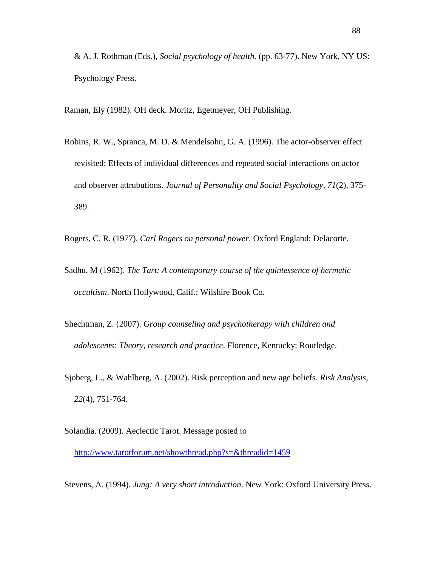& A. J. Rothman (Eds.), *Social psychology of health.* (pp. 63-77). New York, NY US: Psychology Press.

Raman, Ely (1982). OH deck. Moritz, Egetmeyer, OH Publishing.

- Robins, R. W., Spranca, M. D. & Mendelsohn, G. A. (1996). The actor-observer effect revisited: Effects of individual differences and repeated social interactions on actor and observer attrubutions. *Journal of Personality and Social Psychology, 71*(2), 375- 389.
- Rogers, C. R. (1977). *Carl Rogers on personal power*. Oxford England: Delacorte.
- Sadhu, M (1962). *The Tart: A contemporary course of the quintessence of hermetic occultism*. North Hollywood, Calif.: Wilshire Book Co.
- Shechtman, Z. (2007). *Group counseling and psychotherapy with children and adolescents: Theory, research and practice*. Florence, Kentucky: Routledge.
- Sjoberg, L., & Wahlberg, A. (2002). Risk perception and new age beliefs. *Risk Analysis, 22*(4), 751-764.
- Solandia. (2009). Aeclectic Tarot. Message posted to

<http://www.tarotforum.net/showthread.php?s=&threadid=1459>

Stevens, A. (1994). *Jung: A very short introduction*. New York: Oxford University Press.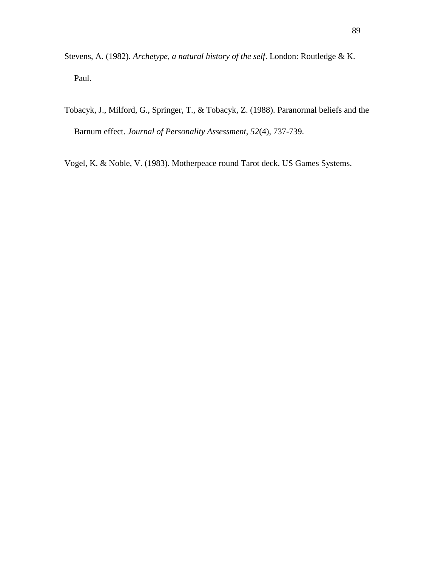- Stevens, A. (1982). *Archetype, a natural history of the self*. London: Routledge & K. Paul.
- Tobacyk, J., Milford, G., Springer, T., & Tobacyk, Z. (1988). Paranormal beliefs and the Barnum effect. *Journal of Personality Assessment, 52*(4), 737-739.

Vogel, K. & Noble, V. (1983). Motherpeace round Tarot deck. US Games Systems.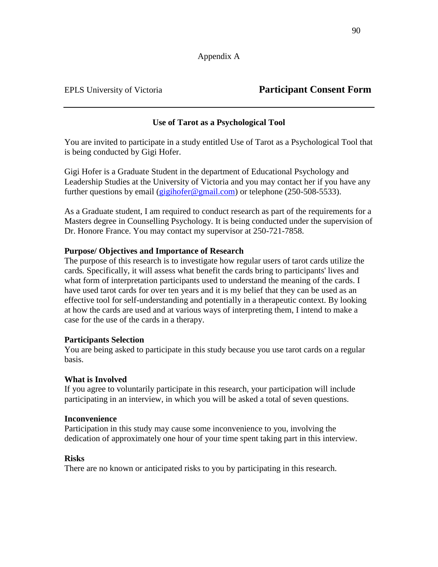# EPLS University of Victoria **Participant Consent Form**

## **Use of Tarot as a Psychological Tool**

You are invited to participate in a study entitled Use of Tarot as a Psychological Tool that is being conducted by Gigi Hofer.

Gigi Hofer is a Graduate Student in the department of Educational Psychology and Leadership Studies at the University of Victoria and you may contact her if you have any further questions by email ( $g$ igihofer@gmail.com) or telephone (250-508-5533).

As a Graduate student, I am required to conduct research as part of the requirements for a Masters degree in Counselling Psychology. It is being conducted under the supervision of Dr. Honore France. You may contact my supervisor at 250-721-7858.

## **Purpose/ Objectives and Importance of Research**

The purpose of this research is to investigate how regular users of tarot cards utilize the cards*.* Specifically, it will assess what benefit the cards bring to participants' lives and what form of interpretation participants used to understand the meaning of the cards. I have used tarot cards for over ten years and it is my belief that they can be used as an effective tool for self-understanding and potentially in a therapeutic context. By looking at how the cards are used and at various ways of interpreting them, I intend to make a case for the use of the cards in a therapy.

## **Participants Selection**

You are being asked to participate in this study because you use tarot cards on a regular basis.

## **What is Involved**

If you agree to voluntarily participate in this research, your participation will include participating in an interview, in which you will be asked a total of seven questions.

## **Inconvenience**

Participation in this study may cause some inconvenience to you, involving the dedication of approximately one hour of your time spent taking part in this interview.

## **Risks**

There are no known or anticipated risks to you by participating in this research.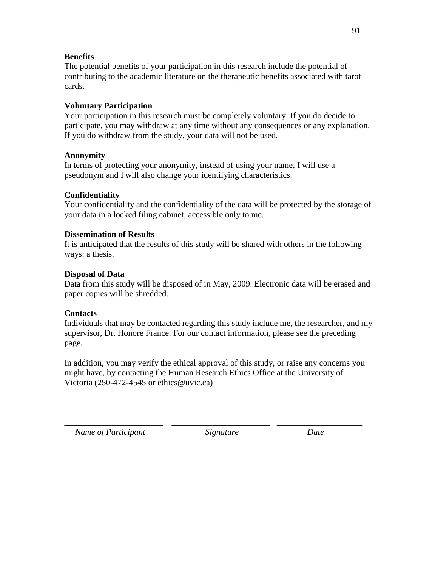## **Benefits**

The potential benefits of your participation in this research include the potential of contributing to the academic literature on the therapeutic benefits associated with tarot cards.

# **Voluntary Participation**

Your participation in this research must be completely voluntary. If you do decide to participate, you may withdraw at any time without any consequences or any explanation. If you do withdraw from the study, your data will not be used.

## **Anonymity**

In terms of protecting your anonymity, instead of using your name, I will use a pseudonym and I will also change your identifying characteristics.

# **Confidentiality**

Your confidentiality and the confidentiality of the data will be protected by the storage of your data in a locked filing cabinet, accessible only to me.

## **Dissemination of Results**

It is anticipated that the results of this study will be shared with others in the following ways: a thesis.

## **Disposal of Data**

Data from this study will be disposed of in May, 2009. Electronic data will be erased and paper copies will be shredded.

## **Contacts**

Individuals that may be contacted regarding this study include me, the researcher, and my supervisor, Dr. Honore France. For our contact information, please see the preceding page.

In addition, you may verify the ethical approval of this study, or raise any concerns you might have, by contacting the Human Research Ethics Office at the University of Victoria (250-472-4545 or ethics@uvic.ca)

\_\_\_\_\_\_\_\_\_\_\_\_\_\_\_\_\_\_\_\_\_\_\_ \_\_\_\_\_\_\_\_\_\_\_\_\_\_\_\_\_\_\_\_\_\_\_ \_\_\_\_\_\_\_\_\_\_\_\_\_\_\_\_\_\_\_\_

*Name of Participant* Signature Date